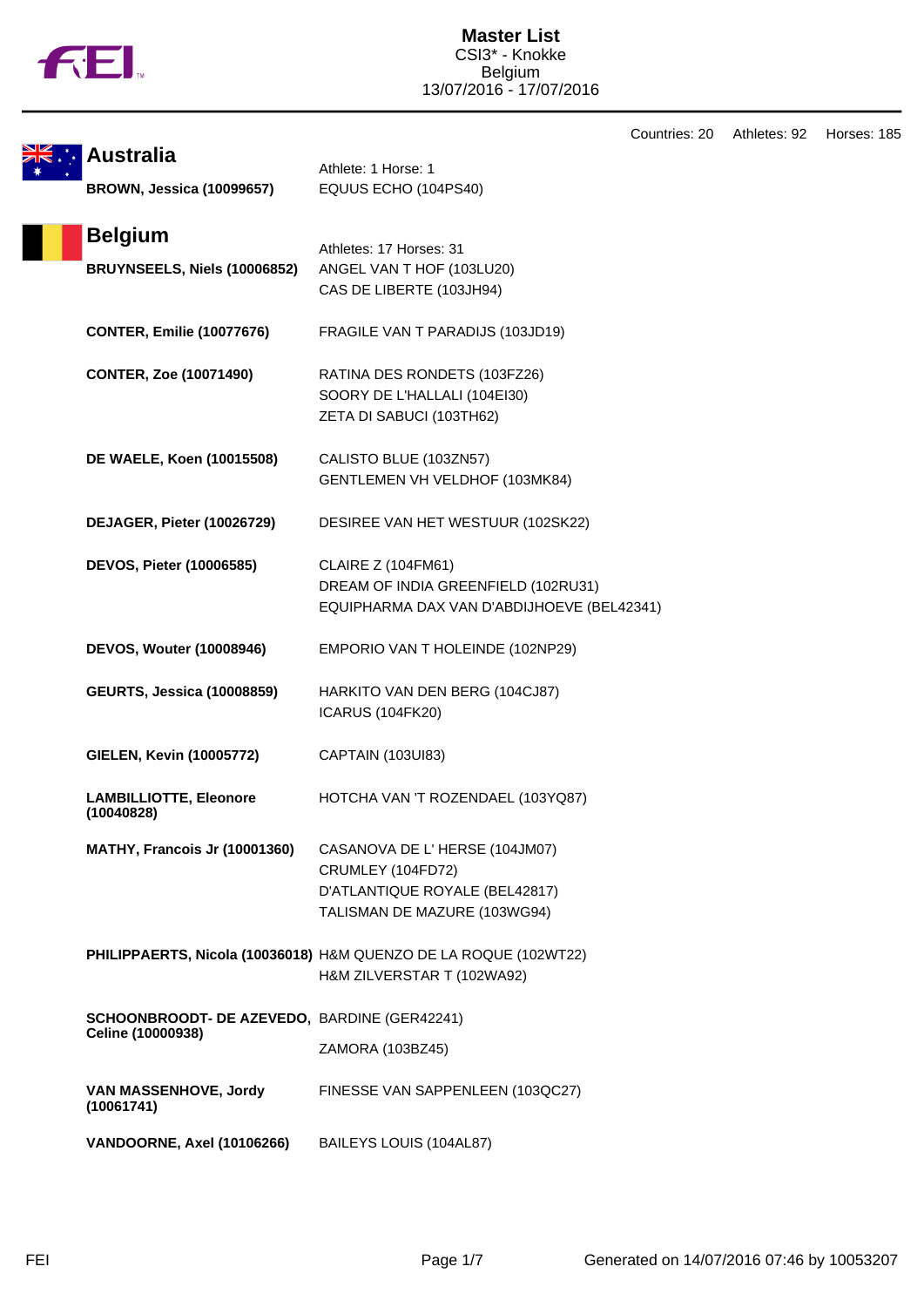

| <b>Australia</b><br><b>BROWN, Jessica (10099657)</b>              | Athlete: 1 Horse: 1<br>EQUUS ECHO (104PS40)                                                                          |
|-------------------------------------------------------------------|----------------------------------------------------------------------------------------------------------------------|
| <b>Belgium</b><br>BRUYNSEELS, Niels (10006852)                    | Athletes: 17 Horses: 31<br>ANGEL VAN T HOF (103LU20)<br>CAS DE LIBERTE (103JH94)                                     |
| <b>CONTER, Emilie (10077676)</b>                                  | FRAGILE VAN T PARADIJS (103JD19)                                                                                     |
| <b>CONTER, Zoe (10071490)</b>                                     | RATINA DES RONDETS (103FZ26)<br>SOORY DE L'HALLALI (104EI30)<br>ZETA DI SABUCI (103TH62)                             |
| DE WAELE, Koen (10015508)                                         | CALISTO BLUE (103ZN57)<br>GENTLEMEN VH VELDHOF (103MK84)                                                             |
| DEJAGER, Pieter (10026729)                                        | DESIREE VAN HET WESTUUR (102SK22)                                                                                    |
| DEVOS, Pieter (10006585)                                          | <b>CLAIRE Z (104FM61)</b><br>DREAM OF INDIA GREENFIELD (102RU31)<br>EQUIPHARMA DAX VAN D'ABDIJHOEVE (BEL42341)       |
| <b>DEVOS, Wouter (10008946)</b>                                   | EMPORIO VAN T HOLEINDE (102NP29)                                                                                     |
| <b>GEURTS, Jessica (10008859)</b>                                 | HARKITO VAN DEN BERG (104CJ87)<br><b>ICARUS (104FK20)</b>                                                            |
| <b>GIELEN, Kevin (10005772)</b>                                   | CAPTAIN (103UI83)                                                                                                    |
| <b>LAMBILLIOTTE, Eleonore</b><br>(10040828)                       | HOTCHA VAN 'T ROZENDAEL (103YQ87)                                                                                    |
| MATHY, Francois Jr (10001360)                                     | CASANOVA DE L'HERSE (104JM07)<br>CRUMLEY (104FD72)<br>D'ATLANTIQUE ROYALE (BEL42817)<br>TALISMAN DE MAZURE (103WG94) |
|                                                                   | PHILIPPAERTS, Nicola (10036018) H&M QUENZO DE LA ROQUE (102WT22)<br>H&M ZILVERSTAR T (102WA92)                       |
| SCHOONBROODT- DE AZEVEDO, BARDINE (GER42241)<br>Celine (10000938) | ZAMORA (103BZ45)                                                                                                     |
| VAN MASSENHOVE, Jordy<br>(10061741)                               | FINESSE VAN SAPPENLEEN (103QC27)                                                                                     |
| VANDOORNE, Axel (10106266)                                        | BAILEYS LOUIS (104AL87)                                                                                              |

Countries: 20 Athletes: 92 Horses: 185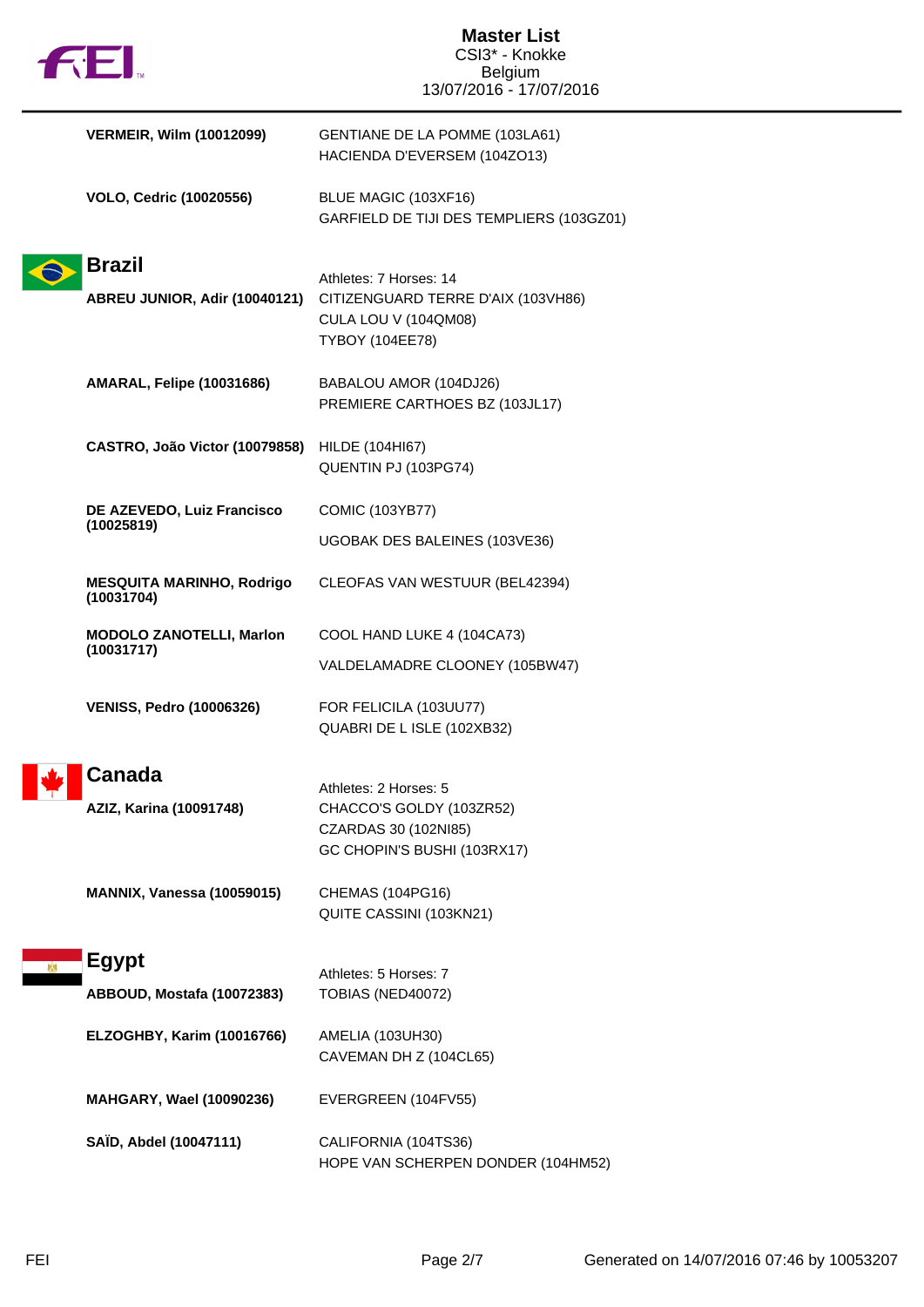|                                                | <b>Master List</b><br>CSI3* - Knokke                                                                           |
|------------------------------------------------|----------------------------------------------------------------------------------------------------------------|
| <b>FEI</b>                                     | <b>Belgium</b>                                                                                                 |
|                                                | 13/07/2016 - 17/07/2016                                                                                        |
| <b>VERMEIR, Wilm (10012099)</b>                | GENTIANE DE LA POMME (103LA61)<br>HACIENDA D'EVERSEM (104ZO13)                                                 |
| <b>VOLO, Cedric (10020556)</b>                 | BLUE MAGIC (103XF16)<br>GARFIELD DE TIJI DES TEMPLIERS (103GZ01)                                               |
| <b>Brazil</b>                                  |                                                                                                                |
| ABREU JUNIOR, Adir (10040121)                  | Athletes: 7 Horses: 14<br>CITIZENGUARD TERRE D'AIX (103VH86)<br>CULA LOU V (104QM08)<br><b>TYBOY (104EE78)</b> |
| <b>AMARAL, Felipe (10031686)</b>               | BABALOU AMOR (104DJ26)<br>PREMIERE CARTHOES BZ (103JL17)                                                       |
| CASTRO, João Victor (10079858)                 | HILDE (104HI67)<br>QUENTIN PJ (103PG74)                                                                        |
| DE AZEVEDO, Luiz Francisco                     | <b>COMIC (103YB77)</b>                                                                                         |
| (10025819)                                     | UGOBAK DES BALEINES (103VE36)                                                                                  |
| <b>MESQUITA MARINHO, Rodrigo</b><br>(10031704) | CLEOFAS VAN WESTUUR (BEL42394)                                                                                 |
| <b>MODOLO ZANOTELLI, Marlon</b>                | COOL HAND LUKE 4 (104CA73)                                                                                     |
| (10031717)                                     | VALDELAMADRE CLOONEY (105BW47)                                                                                 |
| <b>VENISS, Pedro (10006326)</b>                | FOR FELICILA (103UU77)<br>QUABRI DE L ISLE (102XB32)                                                           |
| <b>Canada</b><br>AZIZ, Karina (10091748)       | Athletes: 2 Horses: 5<br>CHACCO'S GOLDY (103ZR52)<br>CZARDAS 30 (102NI85)<br>GC CHOPIN'S BUSHI (103RX17)       |
| <b>MANNIX, Vanessa (10059015)</b>              | CHEMAS (104PG16)<br>QUITE CASSINI (103KN21)                                                                    |
| <b>Egypt</b>                                   |                                                                                                                |
| ABBOUD, Mostafa (10072383)                     | Athletes: 5 Horses: 7<br>TOBIAS (NED40072)                                                                     |
|                                                |                                                                                                                |
| <b>ELZOGHBY, Karim (10016766)</b>              | AMELIA (103UH30)<br>CAVEMAN DH Z (104CL65)                                                                     |
| <b>MAHGARY, Wael (10090236)</b>                | EVERGREEN (104FV55)                                                                                            |
| SAÏD, Abdel (10047111)                         | CALIFORNIA (104TS36)<br>HOPE VAN SCHERPEN DONDER (104HM52)                                                     |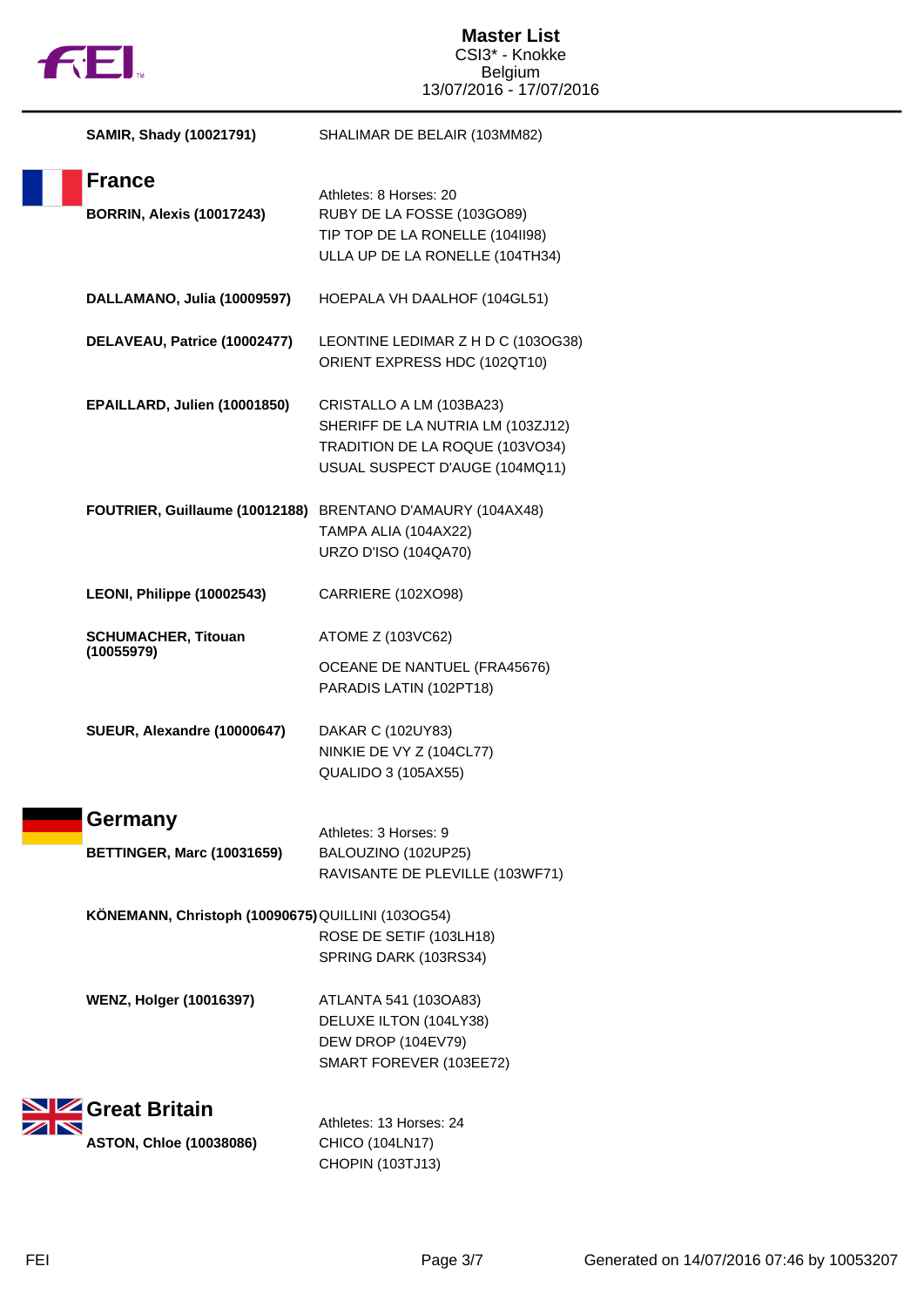

| SAMIR, Shady (10021791)                           | SHALIMAR DE BELAIR (103MM82)                                                                                                       |
|---------------------------------------------------|------------------------------------------------------------------------------------------------------------------------------------|
| <b>France</b><br><b>BORRIN, Alexis (10017243)</b> | Athletes: 8 Horses: 20<br>RUBY DE LA FOSSE (103GO89)<br>TIP TOP DE LA RONELLE (104II98)<br>ULLA UP DE LA RONELLE (104TH34)         |
| DALLAMANO, Julia (10009597)                       | HOEPALA VH DAALHOF (104GL51)                                                                                                       |
| DELAVEAU, Patrice (10002477)                      | LEONTINE LEDIMAR Z H D C (103OG38)<br>ORIENT EXPRESS HDC (102QT10)                                                                 |
| EPAILLARD, Julien (10001850)                      | CRISTALLO A LM (103BA23)<br>SHERIFF DE LA NUTRIA LM (103ZJ12)<br>TRADITION DE LA ROQUE (103VO34)<br>USUAL SUSPECT D'AUGE (104MQ11) |
| FOUTRIER, Guillaume (10012188)                    | BRENTANO D'AMAURY (104AX48)<br>TAMPA ALIA (104AX22)<br><b>URZO D'ISO (104QA70)</b>                                                 |
| LEONI, Philippe (10002543)                        | CARRIERE (102XO98)                                                                                                                 |
| <b>SCHUMACHER, Titouan</b><br>(10055979)          | ATOME Z (103VC62)<br>OCEANE DE NANTUEL (FRA45676)<br>PARADIS LATIN (102PT18)                                                       |
| SUEUR, Alexandre (10000647)                       | DAKAR C (102UY83)<br>NINKIE DE VY Z (104CL77)<br><b>QUALIDO 3 (105AX55)</b>                                                        |
| Germany                                           | Athletes: 3 Horses: 9                                                                                                              |
| <b>BETTINGER, Marc (10031659)</b>                 | BALOUZINO (102UP25)<br>RAVISANTE DE PLEVILLE (103WF71)                                                                             |
| KÖNEMANN, Christoph (10090675) QUILLINI (103OG54) | ROSE DE SETIF (103LH18)<br>SPRING DARK (103RS34)                                                                                   |
| <b>WENZ, Holger (10016397)</b>                    | ATLANTA 541 (103OA83)<br>DELUXE ILTON (104LY38)<br>DEW DROP (104EV79)<br>SMART FOREVER (103EE72)                                   |
| Great Britain                                     | Athletes: 13 Horses: 24                                                                                                            |
| <b>ASTON, Chloe (10038086)</b>                    | CHICO (104LN17)<br>CHOPIN (103TJ13)                                                                                                |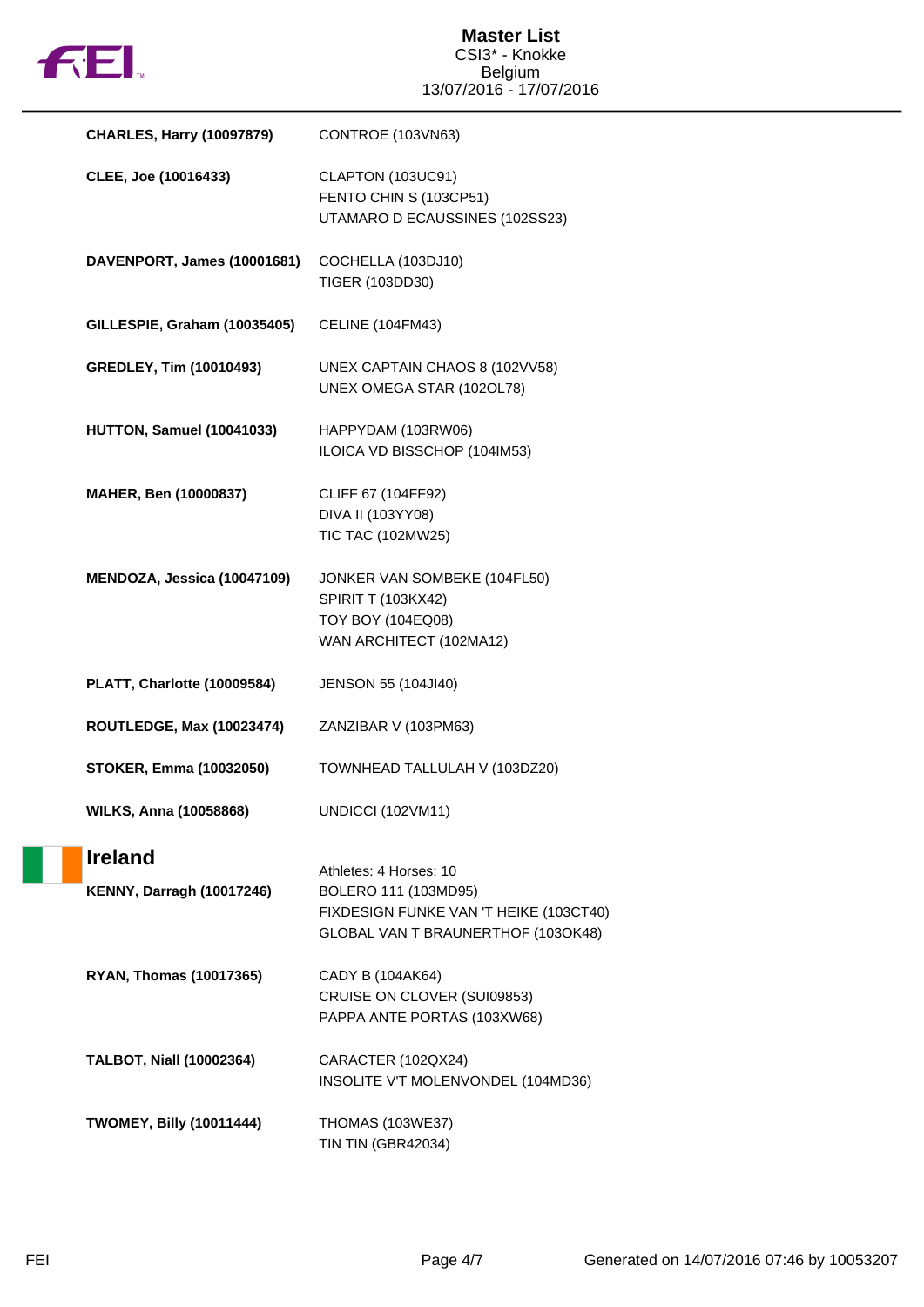

| <b>CHARLES, Harry (10097879)</b>                   | CONTROE (103VN63)                                                                                                              |
|----------------------------------------------------|--------------------------------------------------------------------------------------------------------------------------------|
| CLEE, Joe (10016433)                               | CLAPTON (103UC91)<br>FENTO CHIN S (103CP51)<br>UTAMARO D ECAUSSINES (102SS23)                                                  |
| DAVENPORT, James (10001681)                        | COCHELLA (103DJ10)<br>TIGER (103DD30)                                                                                          |
| GILLESPIE, Graham (10035405)                       | <b>CELINE (104FM43)</b>                                                                                                        |
| <b>GREDLEY, Tim (10010493)</b>                     | UNEX CAPTAIN CHAOS 8 (102VV58)<br>UNEX OMEGA STAR (102OL78)                                                                    |
| HUTTON, Samuel (10041033)                          | HAPPYDAM (103RW06)<br>ILOICA VD BISSCHOP (104IM53)                                                                             |
| MAHER, Ben (10000837)                              | CLIFF 67 (104FF92)<br>DIVA II (103YY08)<br>TIC TAC (102MW25)                                                                   |
| MENDOZA, Jessica (10047109)                        | JONKER VAN SOMBEKE (104FL50)<br><b>SPIRIT T (103KX42)</b><br>TOY BOY (104EQ08)<br>WAN ARCHITECT (102MA12)                      |
| PLATT, Charlotte (10009584)                        | JENSON 55 (104JI40)                                                                                                            |
| <b>ROUTLEDGE, Max (10023474)</b>                   | ZANZIBAR V (103PM63)                                                                                                           |
| <b>STOKER, Emma (10032050)</b>                     | TOWNHEAD TALLULAH V (103DZ20)                                                                                                  |
| <b>WILKS, Anna (10058868)</b>                      | <b>UNDICCI (102VM11)</b>                                                                                                       |
| <b>Ireland</b><br><b>KENNY, Darragh (10017246)</b> | Athletes: 4 Horses: 10<br>BOLERO 111 (103MD95)<br>FIXDESIGN FUNKE VAN 'T HEIKE (103CT40)<br>GLOBAL VAN T BRAUNERTHOF (103OK48) |
| <b>RYAN, Thomas (10017365)</b>                     | CADY B (104AK64)<br>CRUISE ON CLOVER (SUI09853)<br>PAPPA ANTE PORTAS (103XW68)                                                 |
| <b>TALBOT, Niall (10002364)</b>                    | CARACTER (102QX24)<br>INSOLITE V'T MOLENVONDEL (104MD36)                                                                       |
| <b>TWOMEY, Billy (10011444)</b>                    | <b>THOMAS (103WE37)</b><br>TIN TIN (GBR42034)                                                                                  |

u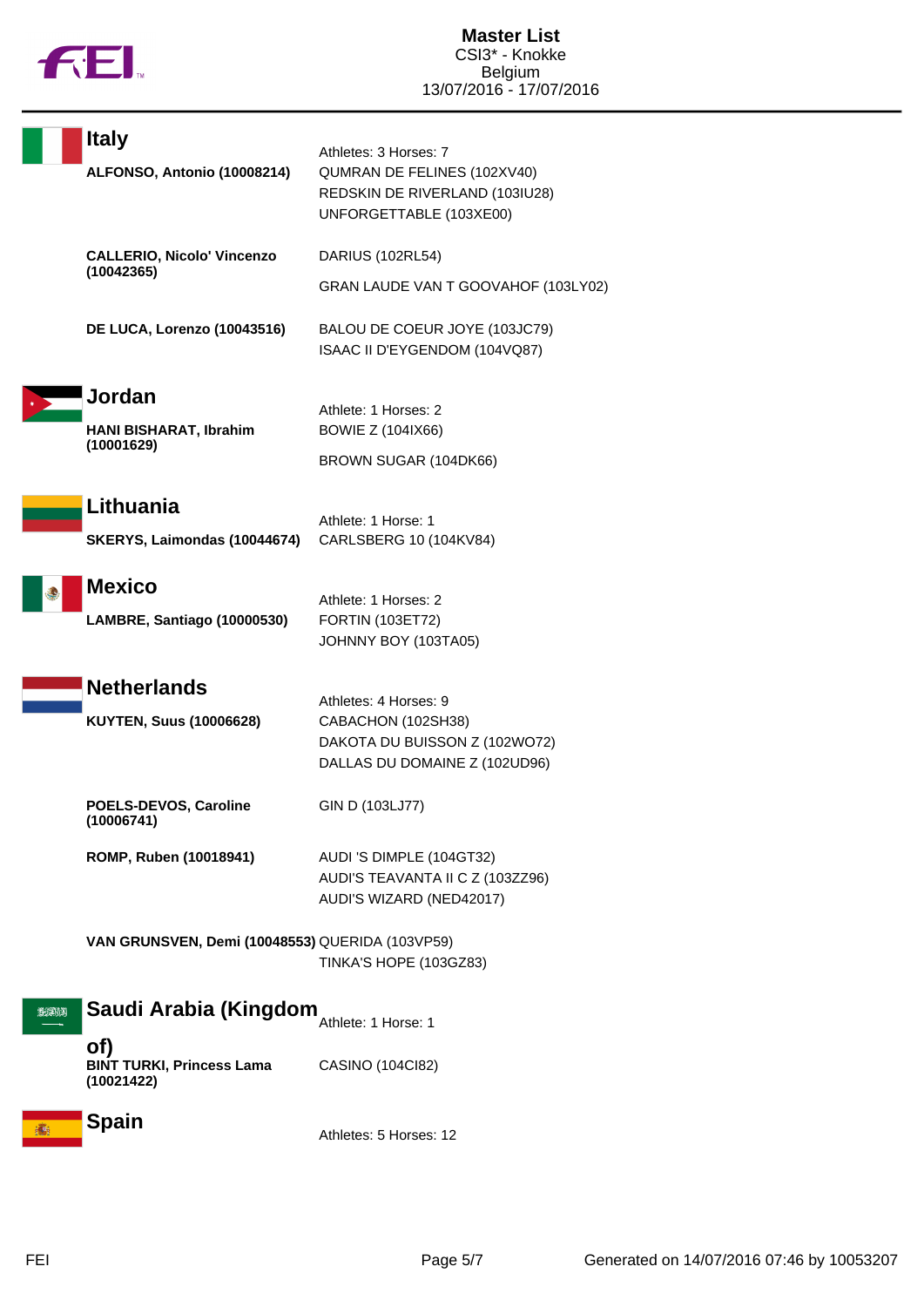

Ē

|          | <b>Italy</b>                                          | Athletes: 3 Horses: 7                                                                    |
|----------|-------------------------------------------------------|------------------------------------------------------------------------------------------|
|          | ALFONSO, Antonio (10008214)                           | QUMRAN DE FELINES (102XV40)<br>REDSKIN DE RIVERLAND (103IU28)<br>UNFORGETTABLE (103XE00) |
|          | <b>CALLERIO, Nicolo' Vincenzo</b><br>(10042365)       | DARIUS (102RL54)                                                                         |
|          |                                                       | GRAN LAUDE VAN T GOOVAHOF (103LY02)                                                      |
|          | DE LUCA, Lorenzo (10043516)                           | BALOU DE COEUR JOYE (103JC79)<br>ISAAC II D'EYGENDOM (104VQ87)                           |
|          | Jordan                                                | Athlete: 1 Horses: 2                                                                     |
|          | HANI BISHARAT, Ibrahim                                | <b>BOWIE Z (104IX66)</b>                                                                 |
|          | (10001629)                                            | BROWN SUGAR (104DK66)                                                                    |
|          | Lithuania                                             |                                                                                          |
|          | SKERYS, Laimondas (10044674)                          | Athlete: 1 Horse: 1<br>CARLSBERG 10 (104KV84)                                            |
|          | <b>Mexico</b>                                         |                                                                                          |
|          | LAMBRE, Santiago (10000530)                           | Athlete: 1 Horses: 2<br>FORTIN (103ET72)                                                 |
|          |                                                       | JOHNNY BOY (103TA05)                                                                     |
|          | <b>Netherlands</b>                                    | Athletes: 4 Horses: 9                                                                    |
|          | <b>KUYTEN, Suus (10006628)</b>                        | CABACHON (102SH38)                                                                       |
|          |                                                       | DAKOTA DU BUISSON Z (102WO72)<br>DALLAS DU DOMAINE Z (102UD96)                           |
|          | POELS-DEVOS, Caroline<br>(10006741)                   | GIN D (103LJ77)                                                                          |
|          | ROMP, Ruben (10018941)                                | AUDI 'S DIMPLE (104GT32)                                                                 |
|          |                                                       | AUDI'S TEAVANTA II C Z (103ZZ96)<br>AUDI'S WIZARD (NED42017)                             |
|          |                                                       |                                                                                          |
|          | VAN GRUNSVEN, Demi (10048553) QUERIDA (103VP59)       | TINKA'S HOPE (103GZ83)                                                                   |
|          |                                                       |                                                                                          |
| الالاجرى | Saudi Arabia (Kingdom                                 | Athlete: 1 Horse: 1                                                                      |
|          | of)<br><b>BINT TURKI, Princess Lama</b><br>(10021422) | CASINO (104Cl82)                                                                         |
|          | <b>Spain</b>                                          | $Ath$ $Ath$ $Ath$ $Ath$ $Ath$                                                            |

Athletes: 5 Horses: 12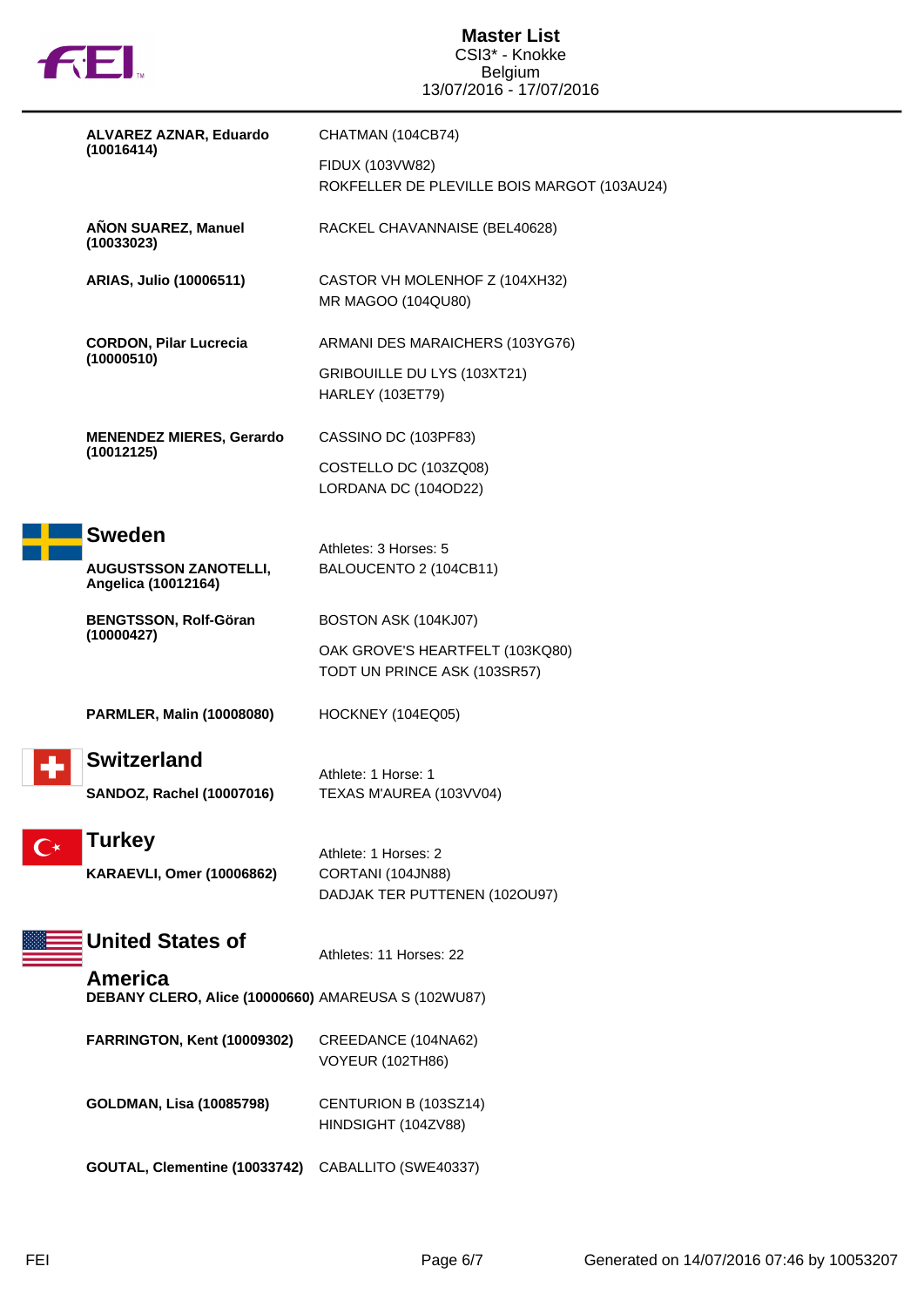

|  | ALVAREZ AZNAR, Eduardo<br>(10016414)                           | CHATMAN (104CB74)                                               |
|--|----------------------------------------------------------------|-----------------------------------------------------------------|
|  |                                                                |                                                                 |
|  |                                                                | FIDUX (103VW82)<br>ROKFELLER DE PLEVILLE BOIS MARGOT (103AU24)  |
|  |                                                                |                                                                 |
|  | AÑON SUAREZ, Manuel<br>(10033023)                              | RACKEL CHAVANNAISE (BEL40628)                                   |
|  | ARIAS, Julio (10006511)                                        | CASTOR VH MOLENHOF Z (104XH32)<br>MR MAGOO (104QU80)            |
|  |                                                                |                                                                 |
|  | <b>CORDON, Pilar Lucrecia</b><br>(10000510)                    | ARMANI DES MARAICHERS (103YG76)                                 |
|  |                                                                | GRIBOUILLE DU LYS (103XT21)<br><b>HARLEY (103ET79)</b>          |
|  | <b>MENENDEZ MIERES, Gerardo</b>                                | CASSINO DC (103PF83)                                            |
|  | (10012125)                                                     | COSTELLO DC (103ZQ08)<br>LORDANA DC (104OD22)                   |
|  |                                                                |                                                                 |
|  | <b>Sweden</b>                                                  | Athletes: 3 Horses: 5                                           |
|  | <b>AUGUSTSSON ZANOTELLI,</b><br>Angelica (10012164)            | BALOUCENTO 2 (104CB11)                                          |
|  | <b>BENGTSSON, Rolf-Göran</b><br>(10000427)                     | BOSTON ASK (104KJ07)                                            |
|  |                                                                | OAK GROVE'S HEARTFELT (103KQ80)<br>TODT UN PRINCE ASK (103SR57) |
|  | <b>PARMLER, Malin (10008080)</b>                               | HOCKNEY (104EQ05)                                               |
|  | <b>Switzerland</b>                                             |                                                                 |
|  |                                                                | Athlete: 1 Horse: 1                                             |
|  | <b>SANDOZ, Rachel (10007016)</b>                               | TEXAS M'AUREA (103VV04)                                         |
|  | <b>Turkey</b>                                                  |                                                                 |
|  | <b>KARAEVLI, Omer (10006862)</b>                               | Athlete: 1 Horses: 2<br>CORTANI (104JN88)                       |
|  |                                                                | DADJAK TER PUTTENEN (102OU97)                                   |
|  |                                                                |                                                                 |
|  | <b>United States of</b>                                        | Athletes: 11 Horses: 22                                         |
|  | America<br>DEBANY CLERO, Alice (10000660) AMAREUSA S (102WU87) |                                                                 |
|  | FARRINGTON, Kent (10009302)                                    | CREEDANCE (104NA62)                                             |
|  |                                                                | <b>VOYEUR (102TH86)</b>                                         |
|  | <b>GOLDMAN, Lisa (10085798)</b>                                | CENTURION B (103SZ14)<br>HINDSIGHT (104ZV88)                    |
|  | GOUTAL, Clementine (10033742)                                  | CABALLITO (SWE40337)                                            |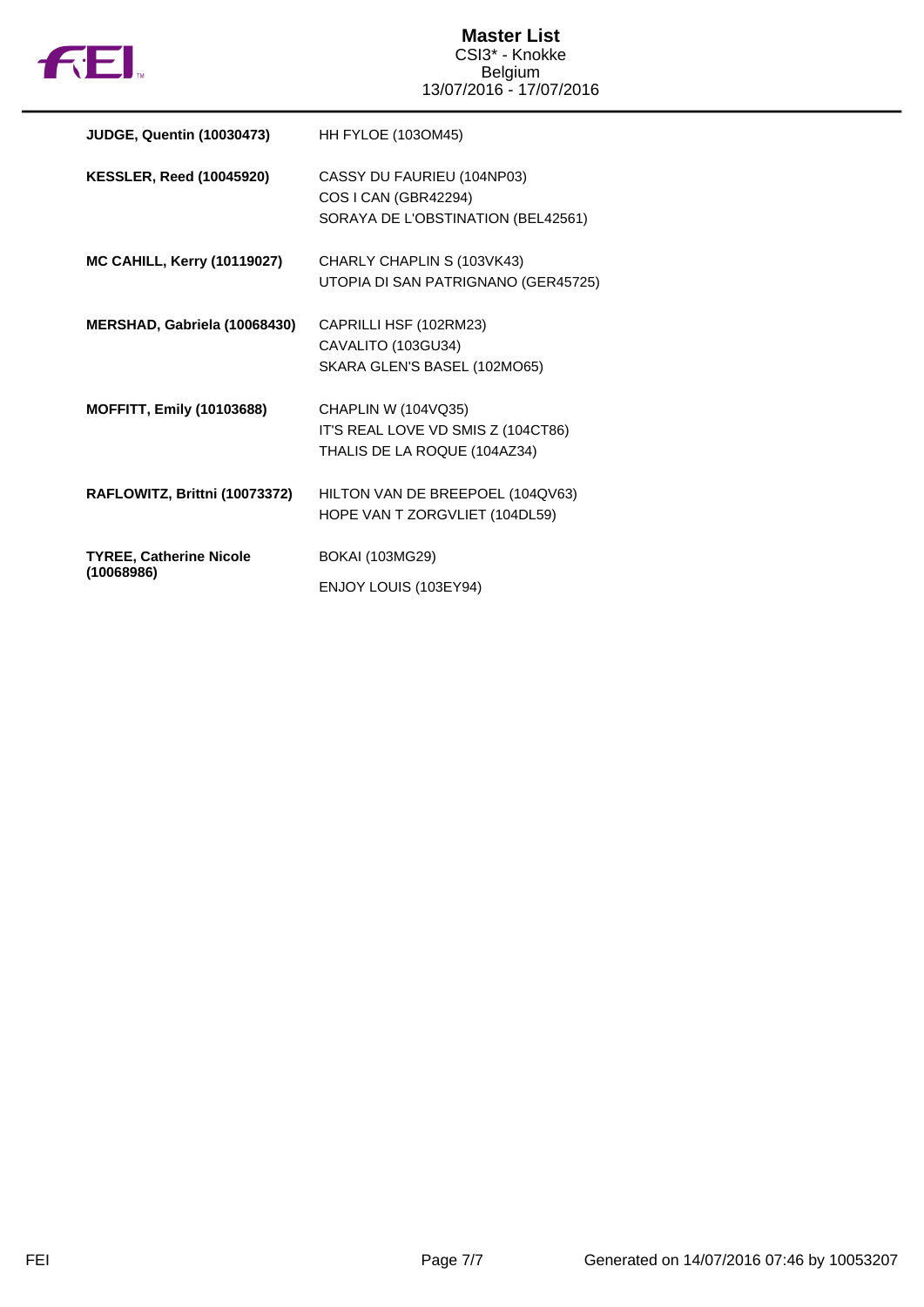

| <b>JUDGE, Quentin (10030473)</b>   | <b>HH FYLOE (103OM45)</b>           |
|------------------------------------|-------------------------------------|
| <b>KESSLER, Reed (10045920)</b>    | CASSY DU FAURIEU (104NP03)          |
|                                    | COS I CAN (GBR42294)                |
|                                    | SORAYA DE L'OBSTINATION (BEL42561)  |
| <b>MC CAHILL, Kerry (10119027)</b> | CHARLY CHAPLIN S (103VK43)          |
|                                    | UTOPIA DI SAN PATRIGNANO (GER45725) |
| MERSHAD, Gabriela (10068430)       | CAPRILLI HSF (102RM23)              |
|                                    | CAVALITO (103GU34)                  |
|                                    | SKARA GLEN'S BASEL (102MO65)        |
| <b>MOFFITT, Emily (10103688)</b>   | CHAPLIN W (104VQ35)                 |
|                                    | IT'S REAL LOVE VD SMIS Z (104CT86)  |
|                                    | THALIS DE LA ROQUE (104AZ34)        |
| RAFLOWITZ, Brittni (10073372)      | HILTON VAN DE BREEPOEL (104QV63)    |
|                                    | HOPE VAN T ZORGVLIET (104DL59)      |
| <b>TYREE, Catherine Nicole</b>     | <b>BOKAI (103MG29)</b>              |
| (10068986)                         | ENJOY LOUIS (103EY94)               |
|                                    |                                     |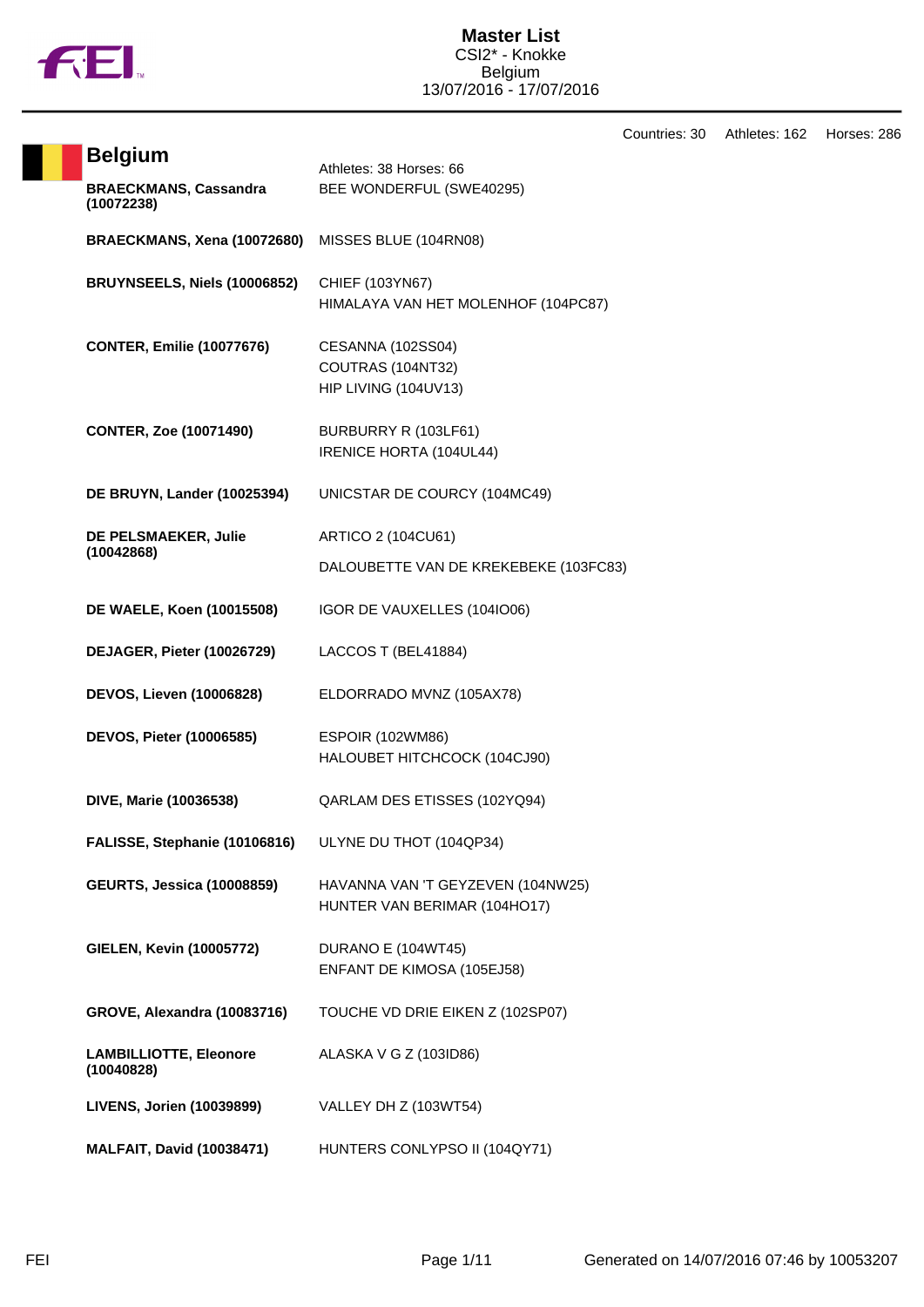

|                                             |                                                                   | Countries: 30 | Athletes: 162 | Horses: 286 |
|---------------------------------------------|-------------------------------------------------------------------|---------------|---------------|-------------|
| <b>Belgium</b>                              | Athletes: 38 Horses: 66                                           |               |               |             |
| <b>BRAECKMANS, Cassandra</b><br>(10072238)  | BEE WONDERFUL (SWE40295)                                          |               |               |             |
| BRAECKMANS, Xena (10072680)                 | MISSES BLUE (104RN08)                                             |               |               |             |
| BRUYNSEELS, Niels (10006852)                | CHIEF (103YN67)<br>HIMALAYA VAN HET MOLENHOF (104PC87)            |               |               |             |
| <b>CONTER, Emilie (10077676)</b>            | CESANNA (102SS04)<br>COUTRAS (104NT32)<br>HIP LIVING (104UV13)    |               |               |             |
| <b>CONTER, Zoe (10071490)</b>               | BURBURRY R (103LF61)<br>IRENICE HORTA (104UL44)                   |               |               |             |
| <b>DE BRUYN, Lander (10025394)</b>          | UNICSTAR DE COURCY (104MC49)                                      |               |               |             |
| DE PELSMAEKER, Julie                        | ARTICO 2 (104CU61)                                                |               |               |             |
| (10042868)                                  | DALOUBETTE VAN DE KREKEBEKE (103FC83)                             |               |               |             |
| DE WAELE, Koen (10015508)                   | IGOR DE VAUXELLES (104IO06)                                       |               |               |             |
| DEJAGER, Pieter (10026729)                  | LACCOS T (BEL41884)                                               |               |               |             |
| <b>DEVOS, Lieven (10006828)</b>             | ELDORRADO MVNZ (105AX78)                                          |               |               |             |
| DEVOS, Pieter (10006585)                    | ESPOIR (102WM86)<br>HALOUBET HITCHCOCK (104CJ90)                  |               |               |             |
| DIVE, Marie (10036538)                      | QARLAM DES ETISSES (102YQ94)                                      |               |               |             |
| FALISSE, Stephanie (10106816)               | ULYNE DU THOT (104QP34)                                           |               |               |             |
| <b>GEURTS, Jessica (10008859)</b>           | HAVANNA VAN 'T GEYZEVEN (104NW25)<br>HUNTER VAN BERIMAR (104HO17) |               |               |             |
| <b>GIELEN, Kevin (10005772)</b>             | DURANO E (104WT45)<br>ENFANT DE KIMOSA (105EJ58)                  |               |               |             |
| <b>GROVE, Alexandra (10083716)</b>          | TOUCHE VD DRIE EIKEN Z (102SP07)                                  |               |               |             |
| <b>LAMBILLIOTTE, Eleonore</b><br>(10040828) | ALASKA V G Z (103ID86)                                            |               |               |             |
| LIVENS, Jorien (10039899)                   | VALLEY DH Z (103WT54)                                             |               |               |             |
| <b>MALFAIT, David (10038471)</b>            | HUNTERS CONLYPSO II (104QY71)                                     |               |               |             |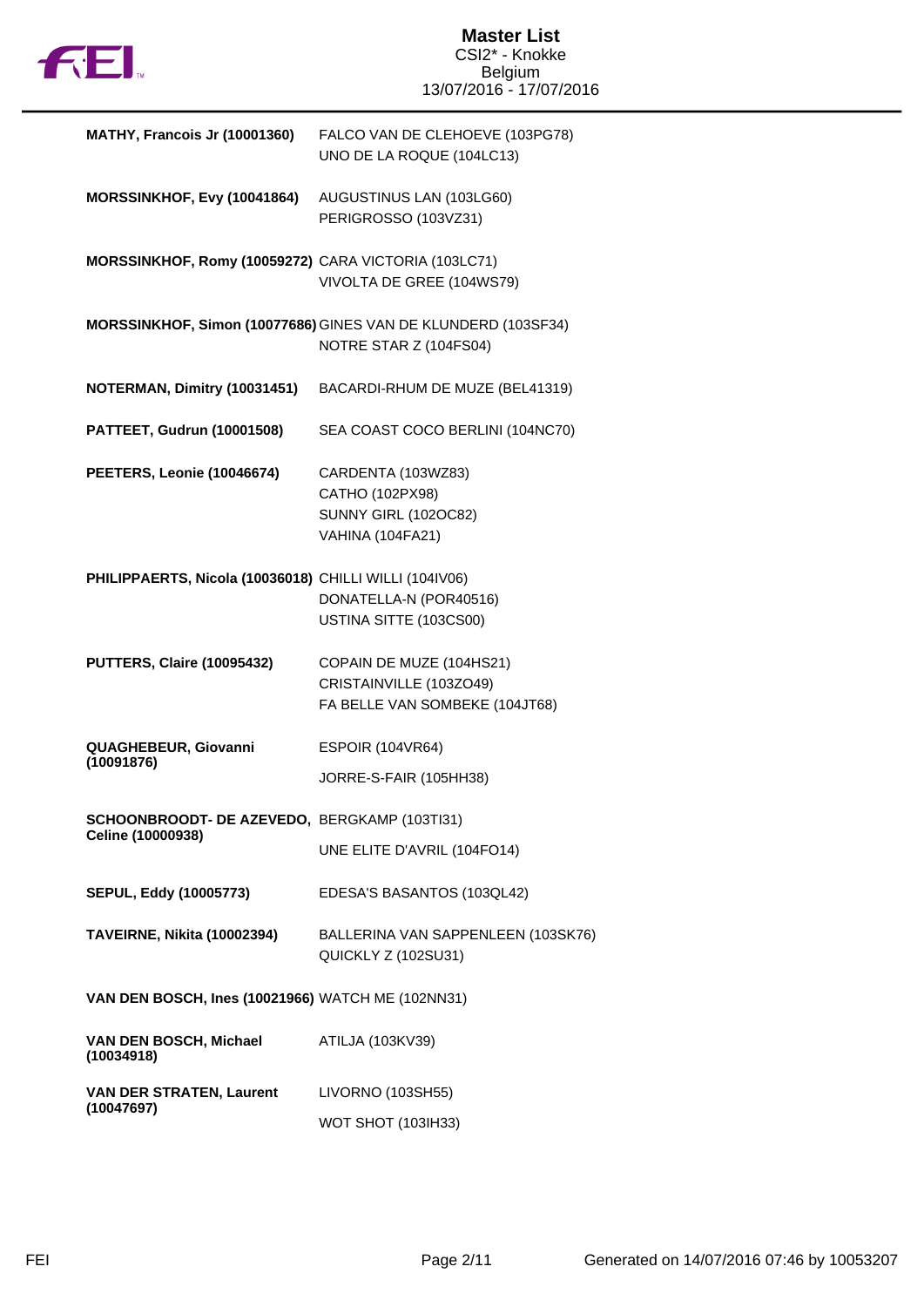

| <b>MATHY, Francois Jr (10001360)</b>                              | FALCO VAN DE CLEHOEVE (103PG78)<br>UNO DE LA ROQUE (104LC13)                                    |
|-------------------------------------------------------------------|-------------------------------------------------------------------------------------------------|
| MORSSINKHOF, Evy (10041864)                                       | AUGUSTINUS LAN (103LG60)<br>PERIGROSSO (103VZ31)                                                |
| MORSSINKHOF, Romy (10059272) CARA VICTORIA (103LC71)              | VIVOLTA DE GREE (104WS79)                                                                       |
|                                                                   | MORSSINKHOF, Simon (10077686) GINES VAN DE KLUNDERD (103SF34)<br>NOTRE STAR Z (104FS04)         |
| NOTERMAN, Dimitry (10031451)                                      | BACARDI-RHUM DE MUZE (BEL41319)                                                                 |
| PATTEET, Gudrun (10001508)                                        | SEA COAST COCO BERLINI (104NC70)                                                                |
| PEETERS, Leonie (10046674)                                        | CARDENTA (103WZ83)<br>CATHO (102PX98)<br><b>SUNNY GIRL (102OC82)</b><br><b>VAHINA (104FA21)</b> |
| PHILIPPAERTS, Nicola (10036018) CHILLI WILLI (104IV06)            | DONATELLA-N (POR40516)<br>USTINA SITTE (103CS00)                                                |
| <b>PUTTERS, Claire (10095432)</b>                                 | COPAIN DE MUZE (104HS21)<br>CRISTAINVILLE (103ZO49)<br>FA BELLE VAN SOMBEKE (104JT68)           |
| QUAGHEBEUR, Giovanni<br>(10091876)                                | <b>ESPOIR (104VR64)</b><br>JORRE-S-FAIR (105HH38)                                               |
| SCHOONBROODT- DE AZEVEDO, BERGKAMP (103TI31)<br>Celine (10000938) | UNE ELITE D'AVRIL (104FO14)                                                                     |
| <b>SEPUL, Eddy (10005773)</b>                                     | EDESA'S BASANTOS (103QL42)                                                                      |
| TAVEIRNE, Nikita (10002394)                                       | BALLERINA VAN SAPPENLEEN (103SK76)<br>QUICKLY Z (102SU31)                                       |
| VAN DEN BOSCH, Ines (10021966) WATCH ME (102NN31)                 |                                                                                                 |
| VAN DEN BOSCH, Michael<br>(10034918)                              | ATILJA (103KV39)                                                                                |
| <b>VAN DER STRATEN, Laurent</b><br>(10047697)                     | LIVORNO (103SH55)<br><b>WOT SHOT (103IH33)</b>                                                  |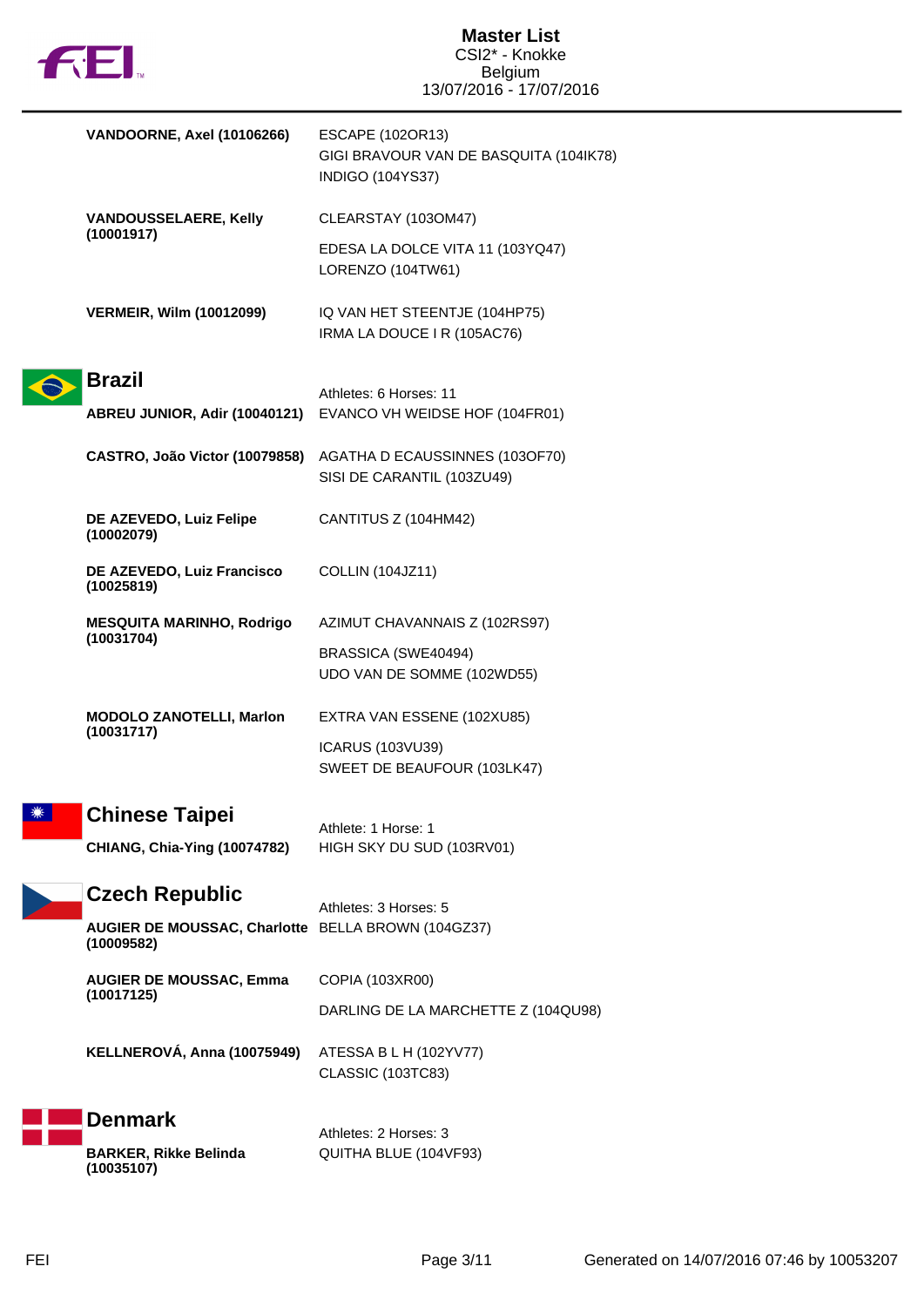| <b>FEI</b> |                                                                  | <b>Master List</b><br>CSI2* - Knokke                                                   |  |
|------------|------------------------------------------------------------------|----------------------------------------------------------------------------------------|--|
|            |                                                                  | <b>Belgium</b><br>13/07/2016 - 17/07/2016                                              |  |
|            | VANDOORNE, Axel (10106266)                                       | ESCAPE (102OR13)<br>GIGI BRAVOUR VAN DE BASQUITA (104IK78)<br><b>INDIGO (104YS37)</b>  |  |
|            | <b>VANDOUSSELAERE, Kelly</b><br>(10001917)                       | CLEARSTAY (103OM47)                                                                    |  |
|            |                                                                  | EDESA LA DOLCE VITA 11 (103YQ47)<br>LORENZO (104TW61)                                  |  |
|            | <b>VERMEIR, Wilm (10012099)</b>                                  | IQ VAN HET STEENTJE (104HP75)<br>IRMA LA DOUCE I R (105AC76)                           |  |
|            | <b>Brazil</b>                                                    |                                                                                        |  |
|            |                                                                  | Athletes: 6 Horses: 11<br>ABREU JUNIOR, Adir (10040121) EVANCO VH WEIDSE HOF (104FR01) |  |
|            | CASTRO, João Victor (10079858)                                   | AGATHA D ECAUSSINNES (103OF70)<br>SISI DE CARANTIL (103ZU49)                           |  |
|            | DE AZEVEDO, Luiz Felipe<br>(10002079)                            | CANTITUS Z (104HM42)                                                                   |  |
|            | DE AZEVEDO, Luiz Francisco<br>(10025819)                         | <b>COLLIN (104JZ11)</b>                                                                |  |
|            | <b>MESQUITA MARINHO, Rodrigo</b><br>(10031704)                   | AZIMUT CHAVANNAIS Z (102RS97)                                                          |  |
|            |                                                                  | BRASSICA (SWE40494)<br>UDO VAN DE SOMME (102WD55)                                      |  |
|            | <b>MODOLO ZANOTELLI, Marlon</b><br>(10031717)                    | EXTRA VAN ESSENE (102XU85)                                                             |  |
|            |                                                                  | ICARUS (103VU39)<br>SWEET DE BEAUFOUR (103LK47)                                        |  |
|            | <b>Chinese Taipei</b>                                            | Athlete: 1 Horse: 1                                                                    |  |
|            | <b>CHIANG, Chia-Ying (10074782)</b>                              | HIGH SKY DU SUD (103RV01)                                                              |  |
|            | <b>Czech Republic</b>                                            | Athletes: 3 Horses: 5                                                                  |  |
|            | AUGIER DE MOUSSAC, Charlotte BELLA BROWN (104GZ37)<br>(10009582) |                                                                                        |  |
|            | <b>AUGIER DE MOUSSAC, Emma</b><br>(10017125)                     | COPIA (103XR00)                                                                        |  |
|            |                                                                  | DARLING DE LA MARCHETTE Z (104QU98)                                                    |  |
|            | KELLNEROVÁ, Anna (10075949)                                      | ATESSA B L H (102YV77)<br><b>CLASSIC (103TC83)</b>                                     |  |
|            | <b>Denmark</b><br><b>BARKER, Rikke Belinda</b><br>(10035107)     | Athletes: 2 Horses: 3<br>QUITHA BLUE (104VF93)                                         |  |

П

L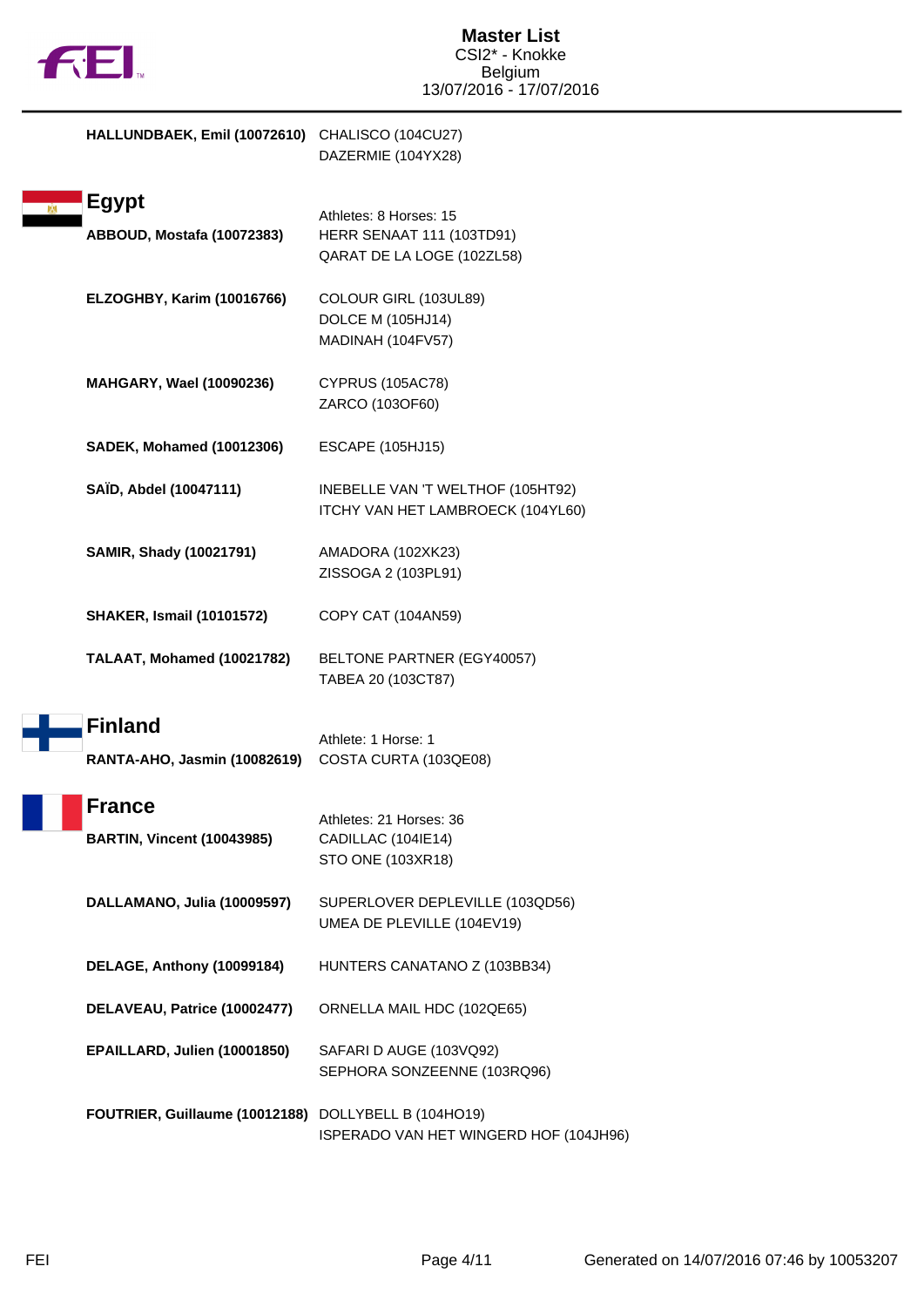

| HALLUNDBAEK, Emil (10072610) CHALISCO (104CU27)      | DAZERMIE (104YX28)                                                                       |
|------------------------------------------------------|------------------------------------------------------------------------------------------|
| <b>Egypt</b><br>ABBOUD, Mostafa (10072383)           | Athletes: 8 Horses: 15<br><b>HERR SENAAT 111 (103TD91)</b><br>QARAT DE LA LOGE (102ZL58) |
| ELZOGHBY, Karim (10016766)                           | COLOUR GIRL (103UL89)<br>DOLCE M (105HJ14)<br>MADINAH (104FV57)                          |
| <b>MAHGARY, Wael (10090236)</b>                      | <b>CYPRUS (105AC78)</b><br>ZARCO (103OF60)                                               |
| <b>SADEK, Mohamed (10012306)</b>                     | <b>ESCAPE (105HJ15)</b>                                                                  |
| SAÏD, Abdel (10047111)                               | INEBELLE VAN 'T WELTHOF (105HT92)<br>ITCHY VAN HET LAMBROECK (104YL60)                   |
| SAMIR, Shady (10021791)                              | AMADORA (102XK23)<br>ZISSOGA 2 (103PL91)                                                 |
| <b>SHAKER, Ismail (10101572)</b>                     | COPY CAT (104AN59)                                                                       |
| TALAAT, Mohamed (10021782)                           | BELTONE PARTNER (EGY40057)<br>TABEA 20 (103CT87)                                         |
| <b>Finland</b><br>RANTA-AHO, Jasmin (10082619)       | Athlete: 1 Horse: 1<br>COSTA CURTA (103QE08)                                             |
| <b>France</b><br><b>BARTIN, Vincent (10043985)</b>   | Athletes: 21 Horses: 36<br>CADILLAC (104IE14)<br>STO ONE (103XR18)                       |
| DALLAMANO, Julia (10009597)                          | SUPERLOVER DEPLEVILLE (103QD56)<br>UMEA DE PLEVILLE (104EV19)                            |
| DELAGE, Anthony (10099184)                           | HUNTERS CANATANO Z (103BB34)                                                             |
| DELAVEAU, Patrice (10002477)                         | ORNELLA MAIL HDC (102QE65)                                                               |
| EPAILLARD, Julien (10001850)                         | SAFARI D AUGE (103VQ92)<br>SEPHORA SONZEENNE (103RQ96)                                   |
| FOUTRIER, Guillaume (10012188) DOLLYBELL B (104HO19) | ISPERADO VAN HET WINGERD HOF (104JH96)                                                   |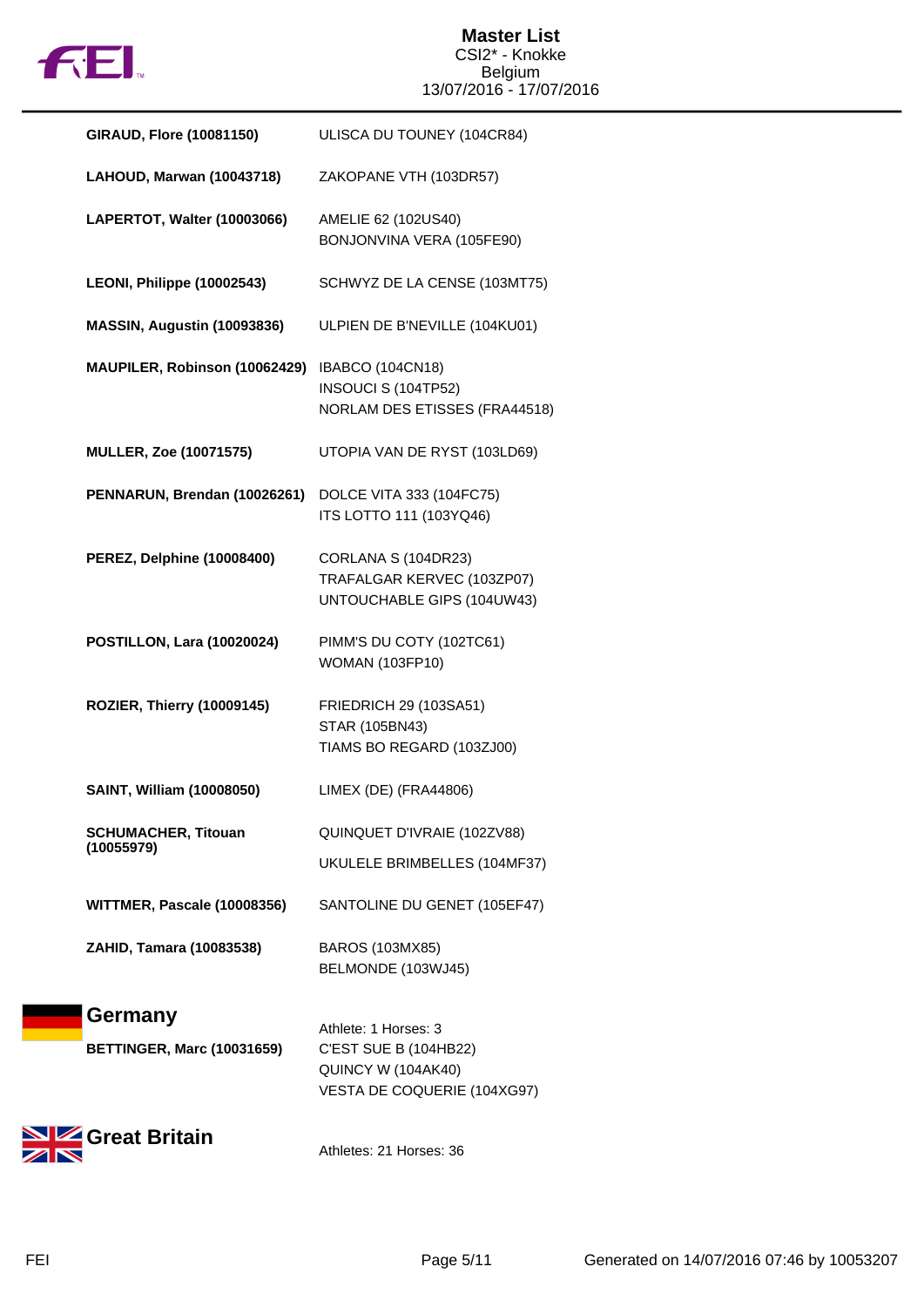

| GIRAUD, Flore (10081150)                     | ULISCA DU TOUNEY (104CR84)                                                                                |
|----------------------------------------------|-----------------------------------------------------------------------------------------------------------|
| LAHOUD, Marwan (10043718)                    | ZAKOPANE VTH (103DR57)                                                                                    |
| LAPERTOT, Walter (10003066)                  | AMELIE 62 (102US40)<br>BONJONVINA VERA (105FE90)                                                          |
| LEONI, Philippe (10002543)                   | SCHWYZ DE LA CENSE (103MT75)                                                                              |
| MASSIN, Augustin (10093836)                  | ULPIEN DE B'NEVILLE (104KU01)                                                                             |
| MAUPILER, Robinson (10062429)                | <b>IBABCO (104CN18)</b><br>INSOUCI S (104TP52)<br>NORLAM DES ETISSES (FRA44518)                           |
| <b>MULLER, Zoe (10071575)</b>                | UTOPIA VAN DE RYST (103LD69)                                                                              |
| PENNARUN, Brendan (10026261)                 | DOLCE VITA 333 (104FC75)<br>ITS LOTTO 111 (103YQ46)                                                       |
| PEREZ, Delphine (10008400)                   | CORLANA S (104DR23)<br>TRAFALGAR KERVEC (103ZP07)<br>UNTOUCHABLE GIPS (104UW43)                           |
| POSTILLON, Lara (10020024)                   | PIMM'S DU COTY (102TC61)<br><b>WOMAN (103FP10)</b>                                                        |
| ROZIER, Thierry (10009145)                   | FRIEDRICH 29 (103SA51)<br><b>STAR (105BN43)</b><br>TIAMS BO REGARD (103ZJ00)                              |
| SAINT, William (10008050)                    | LIMEX (DE) (FRA44806)                                                                                     |
| <b>SCHUMACHER, Titouan</b><br>(10055979)     | QUINQUET D'IVRAIE (102ZV88)<br>UKULELE BRIMBELLES (104MF37)                                               |
| WITTMER, Pascale (10008356)                  | SANTOLINE DU GENET (105EF47)                                                                              |
| ZAHID, Tamara (10083538)                     | BAROS (103MX85)<br>BELMONDE (103WJ45)                                                                     |
| Germany<br><b>BETTINGER, Marc (10031659)</b> | Athlete: 1 Horses: 3<br><b>C'EST SUE B (104HB22)</b><br>QUINCY W (104AK40)<br>VESTA DE COQUERIE (104XG97) |



Athletes: 21 Horses: 36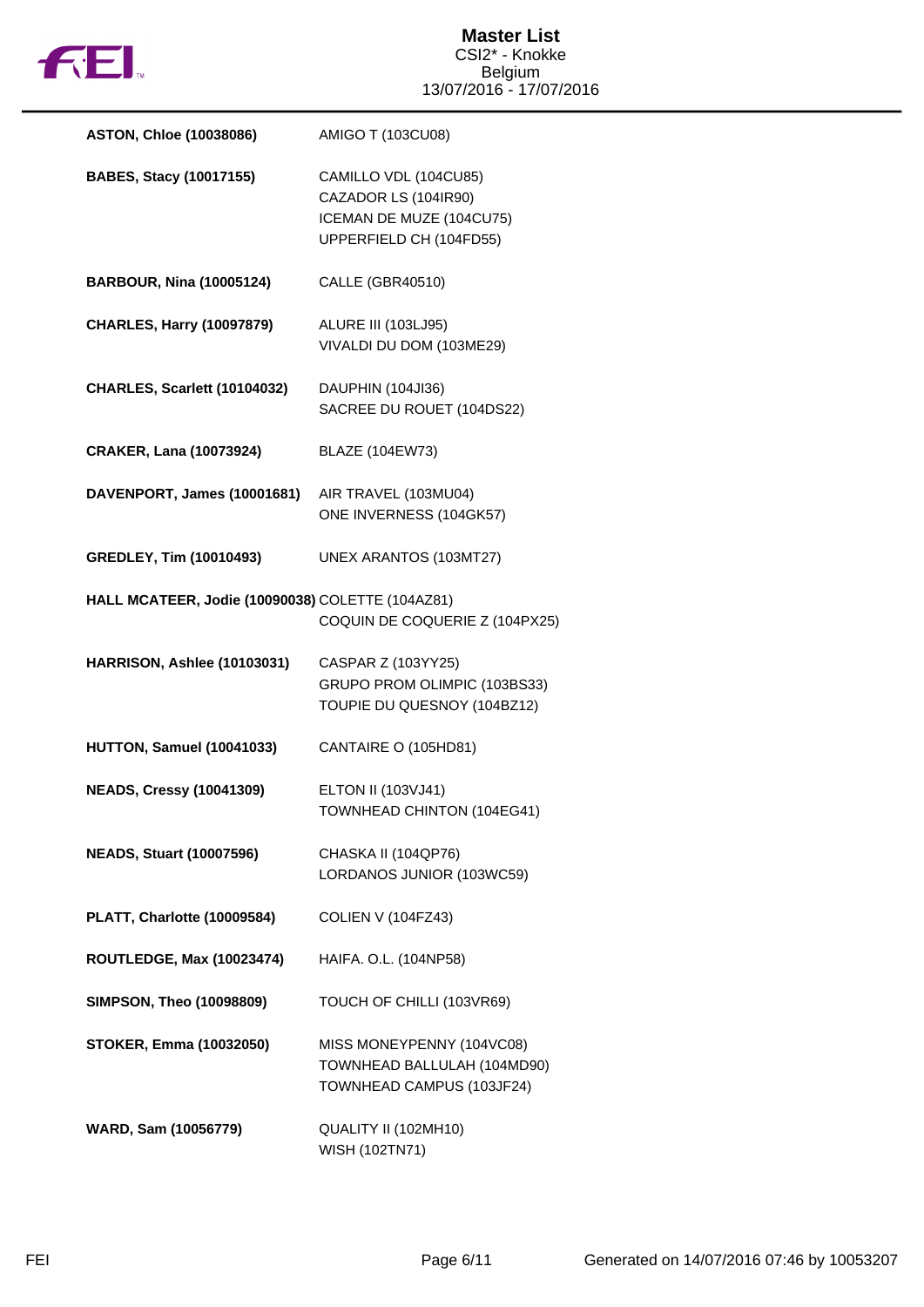

| <b>ASTON, Chloe (10038086)</b>                   | AMIGO T (103CU08)                                                                                    |
|--------------------------------------------------|------------------------------------------------------------------------------------------------------|
| <b>BABES, Stacy (10017155)</b>                   | CAMILLO VDL (104CU85)<br>CAZADOR LS (104IR90)<br>ICEMAN DE MUZE (104CU75)<br>UPPERFIELD CH (104FD55) |
| <b>BARBOUR, Nina (10005124)</b>                  | CALLE (GBR40510)                                                                                     |
| <b>CHARLES, Harry (10097879)</b>                 | <b>ALURE III (103LJ95)</b><br>VIVALDI DU DOM (103ME29)                                               |
| CHARLES, Scarlett (10104032)                     | DAUPHIN (104JI36)<br>SACREE DU ROUET (104DS22)                                                       |
| <b>CRAKER, Lana (10073924)</b>                   | <b>BLAZE (104EW73)</b>                                                                               |
| DAVENPORT, James (10001681)                      | AIR TRAVEL (103MU04)<br>ONE INVERNESS (104GK57)                                                      |
| <b>GREDLEY, Tim (10010493)</b>                   | UNEX ARANTOS (103MT27)                                                                               |
| HALL MCATEER, Jodie (10090038) COLETTE (104AZ81) | COQUIN DE COQUERIE Z (104PX25)                                                                       |
| HARRISON, Ashlee (10103031)                      | CASPAR Z (103YY25)<br>GRUPO PROM OLIMPIC (103BS33)<br>TOUPIE DU QUESNOY (104BZ12)                    |
| HUTTON, Samuel (10041033)                        | CANTAIRE O (105HD81)                                                                                 |
| <b>NEADS, Cressy (10041309)</b>                  | <b>ELTON II (103VJ41)</b>                                                                            |
|                                                  | TOWNHEAD CHINTON (104EG41)                                                                           |
| <b>NEADS, Stuart (10007596)</b>                  | CHASKA II (104QP76)<br>LORDANOS JUNIOR (103WC59)                                                     |
| PLATT, Charlotte (10009584)                      | COLIEN V (104FZ43)                                                                                   |
| <b>ROUTLEDGE, Max (10023474)</b>                 | HAIFA. O.L. (104NP58)                                                                                |
| <b>SIMPSON, Theo (10098809)</b>                  | TOUCH OF CHILLI (103VR69)                                                                            |
| <b>STOKER, Emma (10032050)</b>                   | MISS MONEYPENNY (104VC08)<br>TOWNHEAD BALLULAH (104MD90)<br>TOWNHEAD CAMPUS (103JF24)                |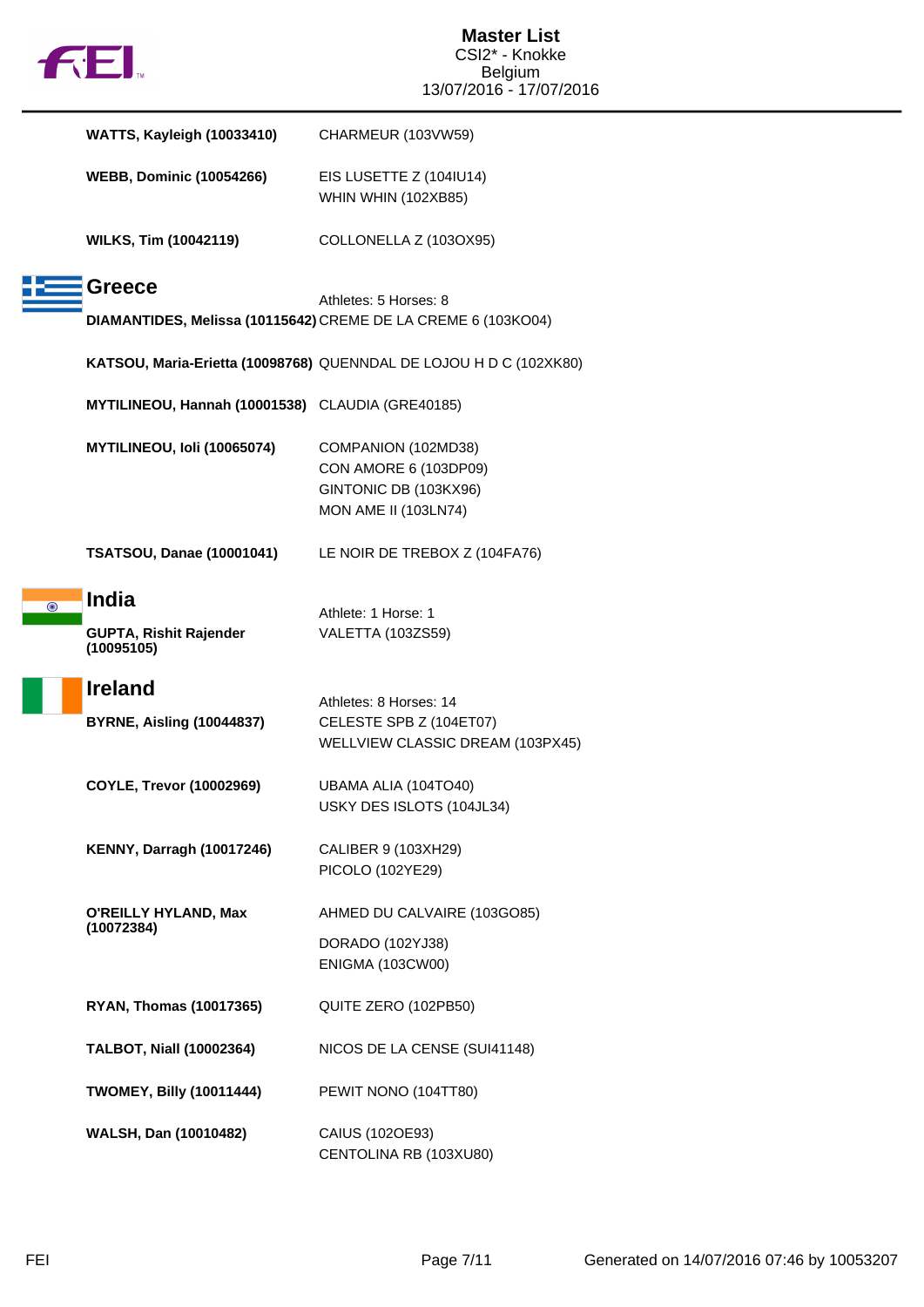|  | M |
|--|---|
|  |   |

|   | <b>WATTS, Kayleigh (10033410)</b>                           | CHARMEUR (103VW59)                                                                                   |
|---|-------------------------------------------------------------|------------------------------------------------------------------------------------------------------|
|   | <b>WEBB, Dominic (10054266)</b>                             | EIS LUSETTE Z (104IU14)<br>WHIN WHIN (102XB85)                                                       |
|   | <b>WILKS, Tim (10042119)</b>                                | COLLONELLA Z (103OX95)                                                                               |
|   | Greece                                                      | Athletes: 5 Horses: 8                                                                                |
|   |                                                             | DIAMANTIDES, Melissa (10115642) CREME DE LA CREME 6 (103KO04)                                        |
|   |                                                             | KATSOU, Maria-Erietta (10098768) QUENNDAL DE LOJOU H D C (102XK80)                                   |
|   | MYTILINEOU, Hannah (10001538) CLAUDIA (GRE40185)            |                                                                                                      |
|   | MYTILINEOU, Ioli (10065074)                                 | COMPANION (102MD38)<br>CON AMORE 6 (103DP09)<br>GINTONIC DB (103KX96)<br><b>MON AME II (103LN74)</b> |
|   | <b>TSATSOU, Danae (10001041)</b>                            | LE NOIR DE TREBOX Z (104FA76)                                                                        |
| ⊙ | <b>India</b><br><b>GUPTA, Rishit Rajender</b><br>(10095105) | Athlete: 1 Horse: 1<br>VALETTA (103ZS59)                                                             |
|   | <b>Ireland</b><br><b>BYRNE, Aisling (10044837)</b>          | Athletes: 8 Horses: 14<br>CELESTE SPB Z (104ET07)<br>WELLVIEW CLASSIC DREAM (103PX45)                |
|   | COYLE, Trevor (10002969)                                    | UBAMA ALIA (104TO40)<br>USKY DES ISLOTS (104JL34)                                                    |
|   | <b>KENNY, Darragh (10017246)</b>                            | CALIBER 9 (103XH29)<br>PICOLO (102YE29)                                                              |
|   | O'REILLY HYLAND, Max                                        | AHMED DU CALVAIRE (103GO85)                                                                          |
|   | (10072384)                                                  | DORADO (102YJ38)<br><b>ENIGMA (103CW00)</b>                                                          |
|   | <b>RYAN, Thomas (10017365)</b>                              | QUITE ZERO (102PB50)                                                                                 |
|   | <b>TALBOT, Niall (10002364)</b>                             | NICOS DE LA CENSE (SUI41148)                                                                         |
|   | <b>TWOMEY, Billy (10011444)</b>                             | PEWIT NONO (104TT80)                                                                                 |
|   | WALSH, Dan (10010482)                                       | CAIUS (102OE93)<br>CENTOLINA RB (103XU80)                                                            |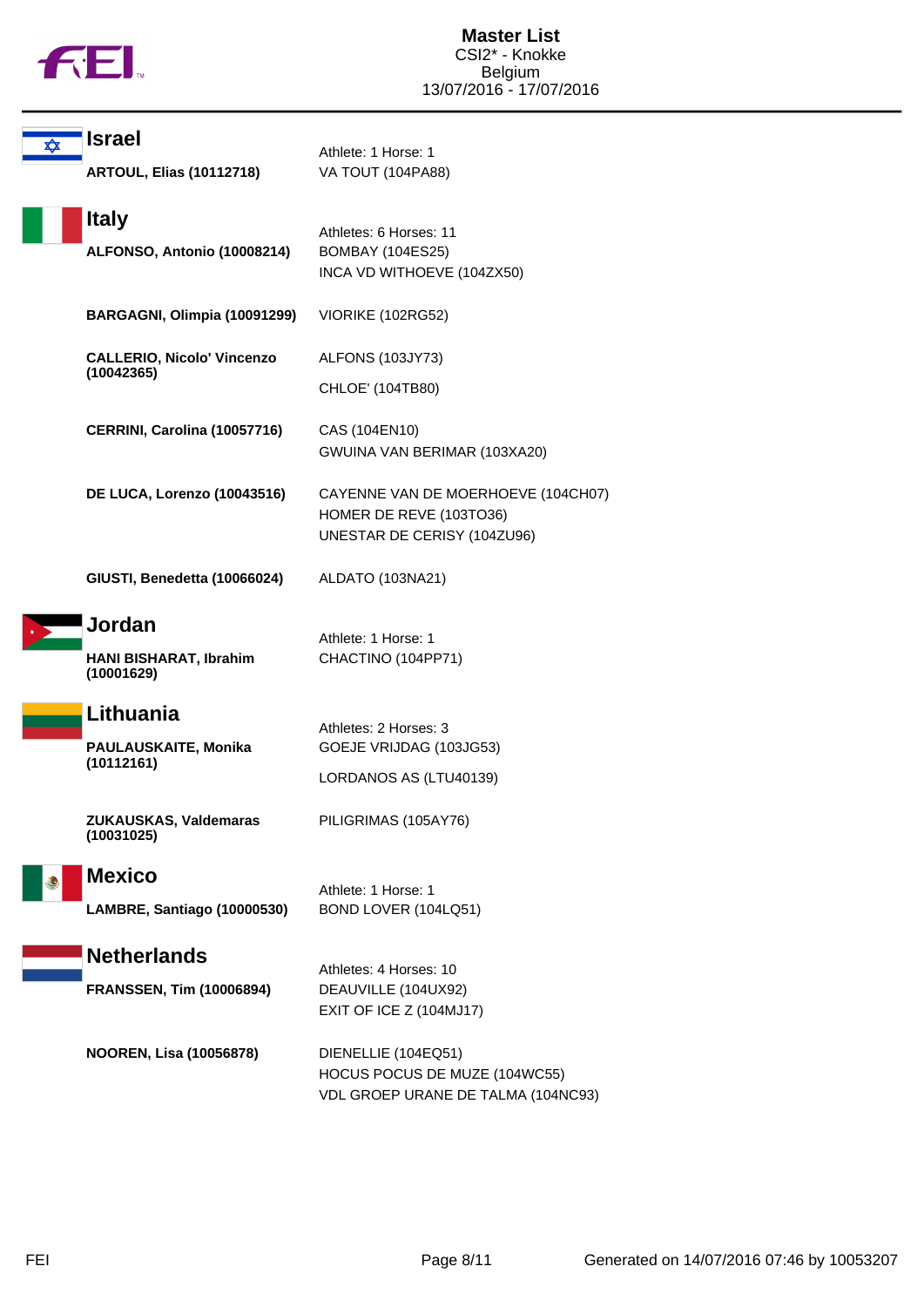

| ✿ | <b>Israel</b>                        | Athlete: 1 Horse: 1                                                                          |
|---|--------------------------------------|----------------------------------------------------------------------------------------------|
|   | <b>ARTOUL, Elias (10112718)</b>      | VA TOUT (104PA88)                                                                            |
|   | <b>Italy</b>                         |                                                                                              |
|   | ALFONSO, Antonio (10008214)          | Athletes: 6 Horses: 11<br><b>BOMBAY (104ES25)</b><br>INCA VD WITHOEVE (104ZX50)              |
|   | BARGAGNI, Olimpia (10091299)         | VIORIKE (102RG52)                                                                            |
|   | <b>CALLERIO, Nicolo' Vincenzo</b>    | ALFONS (103JY73)                                                                             |
|   | (10042365)                           | CHLOE' (104TB80)                                                                             |
|   | CERRINI, Carolina (10057716)         | CAS (104EN10)<br>GWUINA VAN BERIMAR (103XA20)                                                |
|   | DE LUCA, Lorenzo (10043516)          | CAYENNE VAN DE MOERHOEVE (104CH07)<br>HOMER DE REVE (103TO36)<br>UNESTAR DE CERISY (104ZU96) |
|   | GIUSTI, Benedetta (10066024)         | ALDATO (103NA21)                                                                             |
|   | Jordan                               | Athlete: 1 Horse: 1                                                                          |
|   | HANI BISHARAT, Ibrahim<br>(10001629) | CHACTINO (104PP71)                                                                           |
|   | Lithuania                            | Athletes: 2 Horses: 3                                                                        |
|   | PAULAUSKAITE, Monika<br>(10112161)   | GOEJE VRIJDAG (103JG53)                                                                      |
|   |                                      | LORDANOS AS (LTU40139)                                                                       |
|   | ZUKAUSKAS, Valdemaras<br>(10031025)  | PILIGRIMAS (105AY76)                                                                         |
| ۵ | <b>Mexico</b>                        | Athlete: 1 Horse: 1                                                                          |
|   | LAMBRE, Santiago (10000530)          | BOND LOVER (104LQ51)                                                                         |
|   | <b>Netherlands</b>                   |                                                                                              |
|   | <b>FRANSSEN, Tim (10006894)</b>      | Athletes: 4 Horses: 10<br>DEAUVILLE (104UX92)<br>EXIT OF ICE Z (104MJ17)                     |
|   | <b>NOOREN, Lisa (10056878)</b>       | DIENELLIE (104EQ51)<br>HOCUS POCUS DE MUZE (104WC55)<br>VDL GROEP URANE DE TALMA (104NC93)   |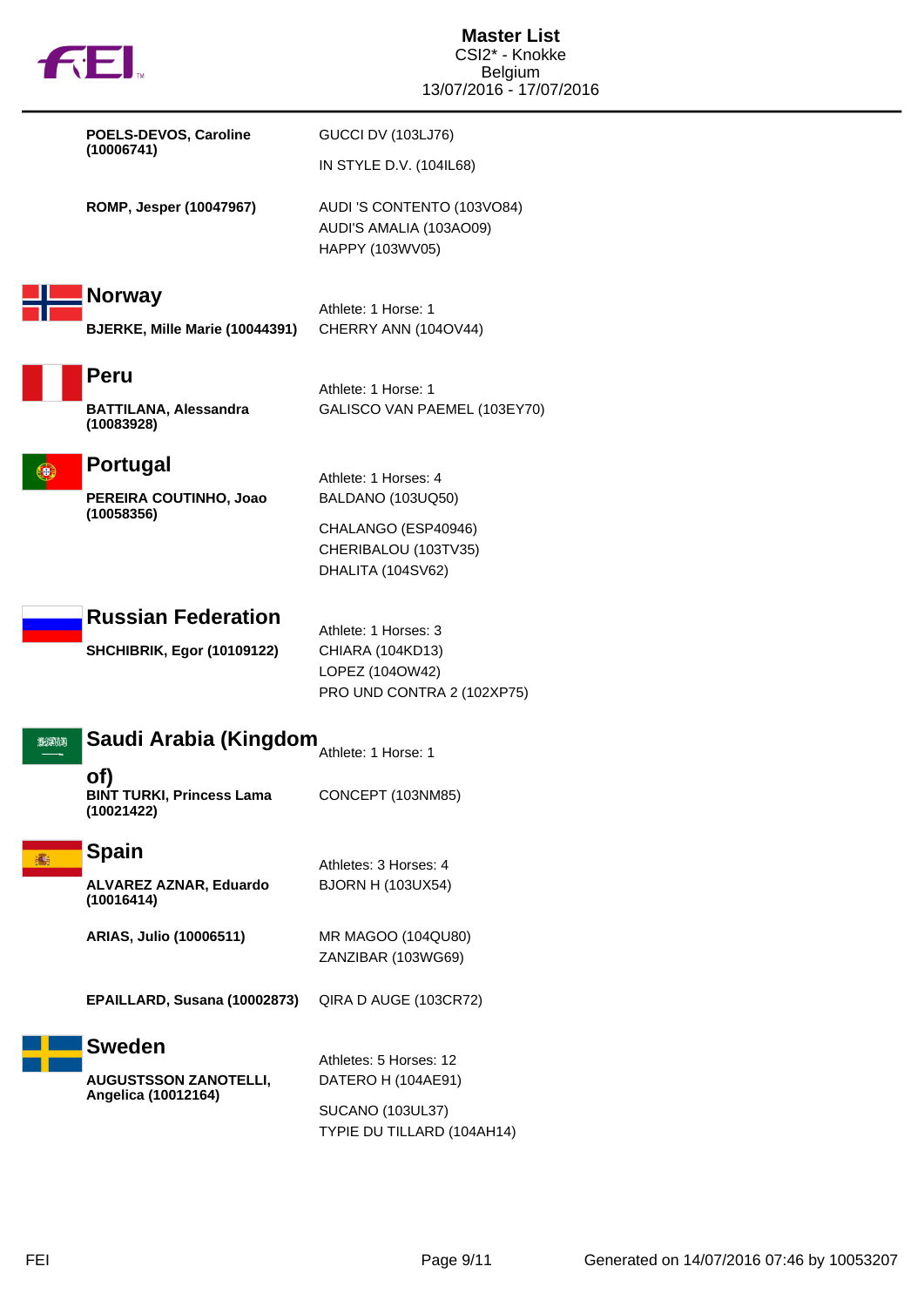| <b>THEL</b>                                           | <b>Master List</b><br>CSI2* - Knokke<br>Belgium<br>13/07/2016 - 17/07/2016 |
|-------------------------------------------------------|----------------------------------------------------------------------------|
| POELS-DEVOS, Caroline<br>(10006741)                   | <b>GUCCI DV (103LJ76)</b>                                                  |
|                                                       | IN STYLE D.V. (104IL68)                                                    |
| ROMP, Jesper (10047967)                               | AUDI 'S CONTENTO (103VO84)<br>AUDI'S AMALIA (103AO09)<br>HAPPY (103WV05)   |
| <b>Norway</b>                                         | Athlete: 1 Horse: 1                                                        |
| BJERKE, Mille Marie (10044391)                        | CHERRY ANN (104OV44)                                                       |
| <b>Peru</b>                                           | Athlete: 1 Horse: 1                                                        |
| <b>BATTILANA, Alessandra</b><br>(10083928)            | GALISCO VAN PAEMEL (103EY70)                                               |
| <b>Portugal</b><br>(e)                                | Athlete: 1 Horses: 4                                                       |
| PEREIRA COUTINHO, Joao<br>(10058356)                  | <b>BALDANO (103UQ50)</b>                                                   |
|                                                       | CHALANGO (ESP40946)<br>CHERIBALOU (103TV35)<br>DHALITA (104SV62)           |
| <b>Russian Federation</b>                             | Athlete: 1 Horses: 3                                                       |
| <b>SHCHIBRIK, Egor (10109122)</b>                     | CHIARA (104KD13)<br>LOPEZ (104OW42)<br>PRO UND CONTRA 2 (102XP75)          |
| Saudi Arabia (Kingdom<br><b>2020)</b>                 | Athlete: 1 Horse: 1                                                        |
| of)<br><b>BINT TURKI, Princess Lama</b><br>(10021422) | CONCEPT (103NM85)                                                          |
| <b>Spain</b><br>癬                                     | Athletes: 3 Horses: 4                                                      |
| ALVAREZ AZNAR, Eduardo<br>(10016414)                  | <b>BJORN H (103UX54)</b>                                                   |
| ARIAS, Julio (10006511)                               | MR MAGOO (104QU80)<br>ZANZIBAR (103WG69)                                   |
| EPAILLARD, Susana (10002873)                          | QIRA D AUGE (103CR72)                                                      |
| <b>Sweden</b>                                         | Athletes: 5 Horses: 12                                                     |
| <b>AUGUSTSSON ZANOTELLI,</b><br>Angelica (10012164)   | DATERO H (104AE91)                                                         |
|                                                       | <b>SUCANO (103UL37)</b><br>TYPIE DU TILLARD (104AH14)                      |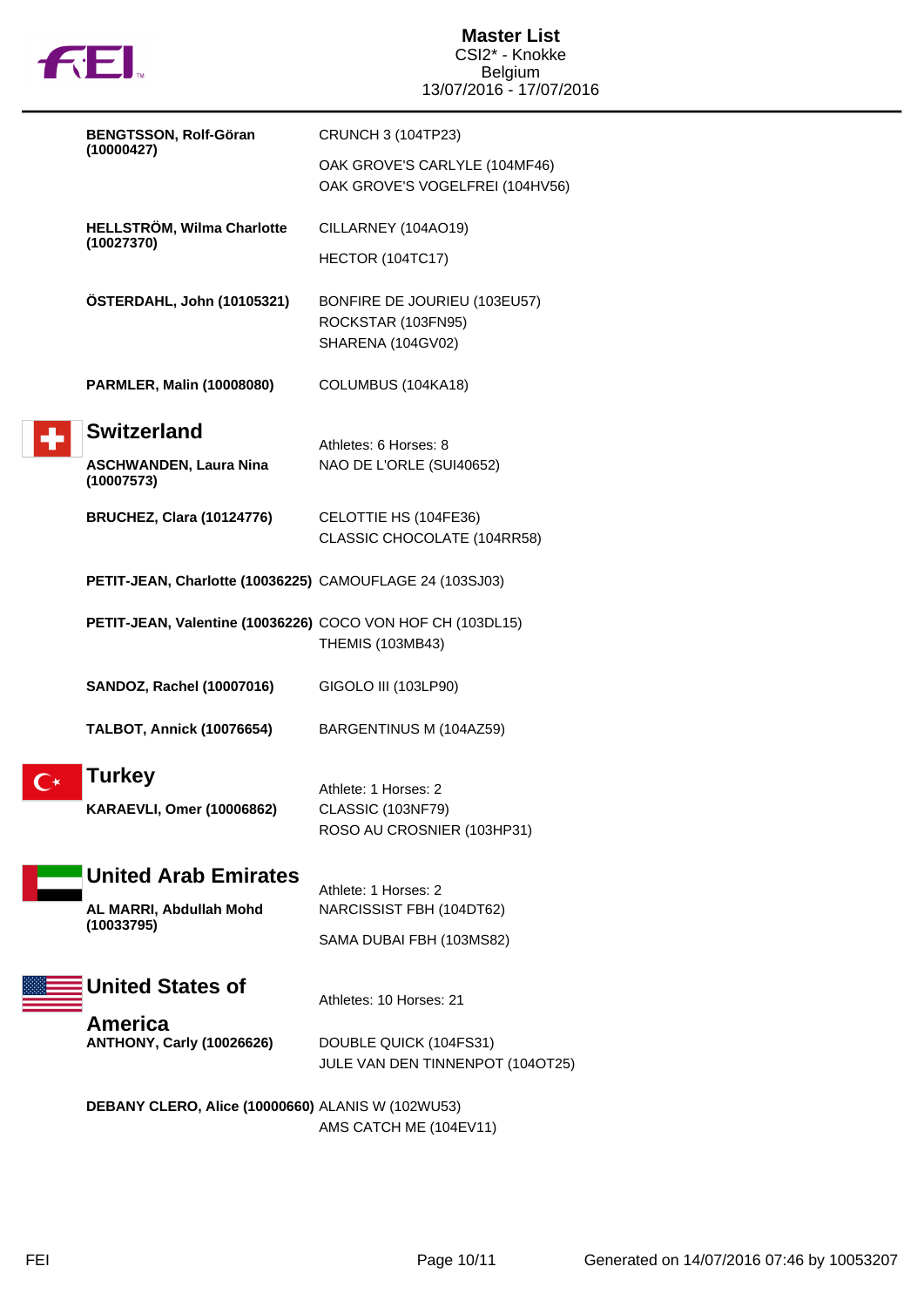

| <b>BENGTSSON, Rolf-Göran</b>                               | CRUNCH 3 (104TP23)                                                      |
|------------------------------------------------------------|-------------------------------------------------------------------------|
| (10000427)                                                 | OAK GROVE'S CARLYLE (104MF46)<br>OAK GROVE'S VOGELFREI (104HV56)        |
| <b>HELLSTRÖM, Wilma Charlotte</b>                          | CILLARNEY (104AO19)                                                     |
| (10027370)                                                 | HECTOR (104TC17)                                                        |
| ÖSTERDAHL, John (10105321)                                 | BONFIRE DE JOURIEU (103EU57)<br>ROCKSTAR (103FN95)<br>SHARENA (104GV02) |
| <b>PARMLER, Malin (10008080)</b>                           | COLUMBUS (104KA18)                                                      |
| <b>Switzerland</b>                                         | Athletes: 6 Horses: 8                                                   |
| <b>ASCHWANDEN, Laura Nina</b><br>(10007573)                | NAO DE L'ORLE (SUI40652)                                                |
| <b>BRUCHEZ, Clara (10124776)</b>                           | CELOTTIE HS (104FE36)<br>CLASSIC CHOCOLATE (104RR58)                    |
| PETIT-JEAN, Charlotte (10036225) CAMOUFLAGE 24 (103SJ03)   |                                                                         |
| PETIT-JEAN, Valentine (10036226) COCO VON HOF CH (103DL15) | <b>THEMIS (103MB43)</b>                                                 |
| <b>SANDOZ, Rachel (10007016)</b>                           | GIGOLO III (103LP90)                                                    |
| <b>TALBOT, Annick (10076654)</b>                           | BARGENTINUS M (104AZ59)                                                 |
| <b>Turkey</b>                                              | Athlete: 1 Horses: 2                                                    |
| <b>KARAEVLI, Omer (10006862)</b>                           | CLASSIC (103NF79)<br>ROSO AU CROSNIER (103HP31)                         |
| <b>United Arab Emirates</b>                                | Athlete: 1 Horses: 2                                                    |
| AL MARRI, Abdullah Mohd<br>(10033795)                      | NARCISSIST FBH (104DT62)                                                |
|                                                            | SAMA DUBAI FBH (103MS82)                                                |
| <b>United States of</b>                                    | Athletes: 10 Horses: 21                                                 |
| America<br><b>ANTHONY, Carly (10026626)</b>                | DOUBLE QUICK (104FS31)<br>JULE VAN DEN TINNENPOT (104OT25)              |
| DEBANY CLERO, Alice (10000660) ALANIS W (102WU53)          | AMS CATCH ME (104EV11)                                                  |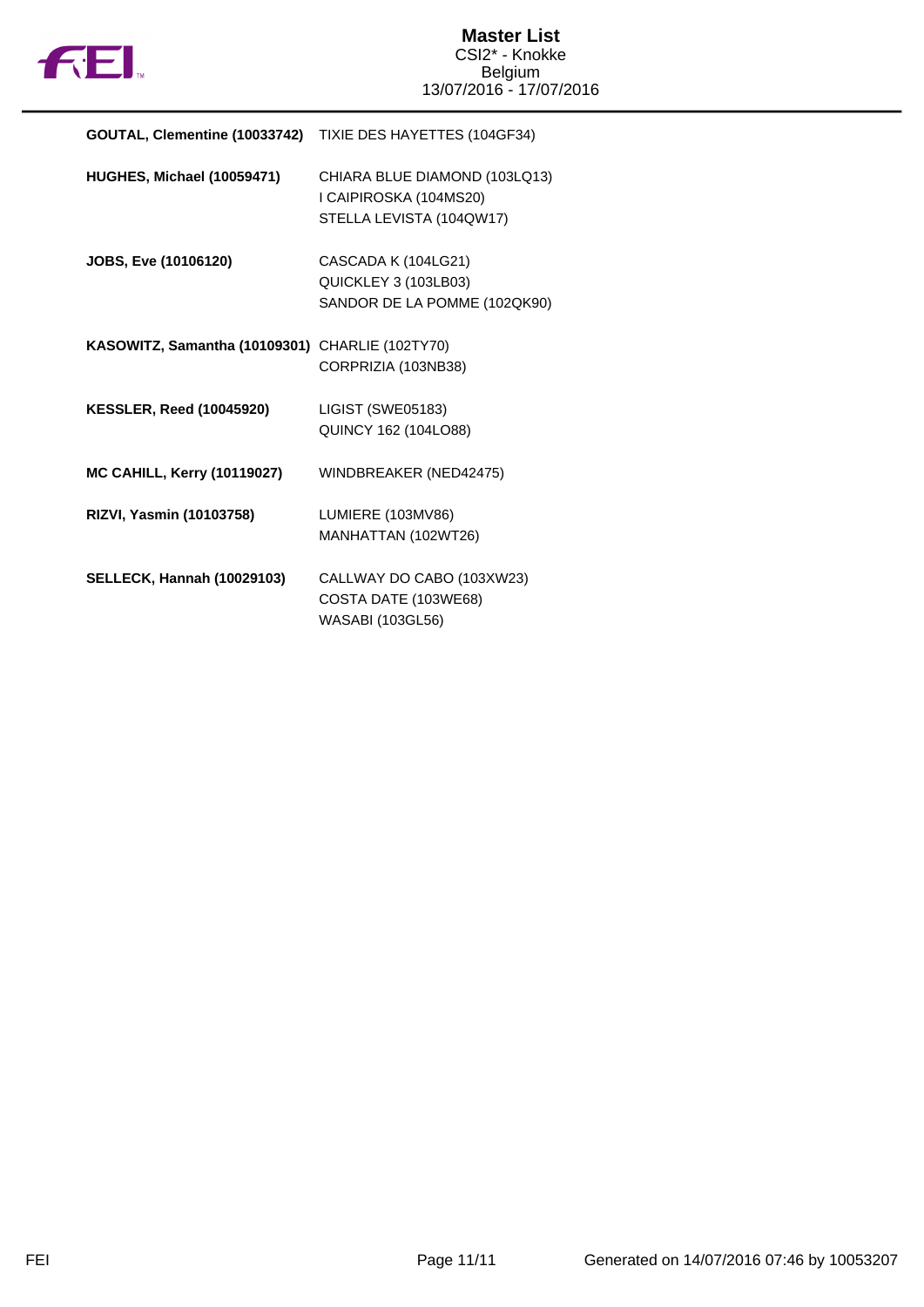

| <b>GOUTAL, Clementine (10033742)</b> TIXIE DES HAYETTES (104GF34) |                                                                                     |
|-------------------------------------------------------------------|-------------------------------------------------------------------------------------|
| HUGHES, Michael (10059471)                                        | CHIARA BLUE DIAMOND (103LQ13)<br>I CAIPIROSKA (104MS20)<br>STELLA LEVISTA (104QW17) |
| JOBS, Eve (10106120)                                              | CASCADA K (104LG21)<br>QUICKLEY 3 (103LB03)<br>SANDOR DE LA POMME (102QK90)         |
| KASOWITZ, Samantha (10109301)                                     | CHARLIE (102TY70)<br>CORPRIZIA (103NB38)                                            |
| <b>KESSLER, Reed (10045920)</b>                                   | LIGIST (SWE05183)<br>QUINCY 162 (104LO88)                                           |
| <b>MC CAHILL, Kerry (10119027)</b>                                | WINDBREAKER (NED42475)                                                              |
| RIZVI, Yasmin (10103758)                                          | LUMIERE (103MV86)<br>MANHATTAN (102WT26)                                            |
| <b>SELLECK, Hannah (10029103)</b>                                 | CALLWAY DO CABO (103XW23)<br>COSTA DATE (103WE68)<br>WASABI (103GL56)               |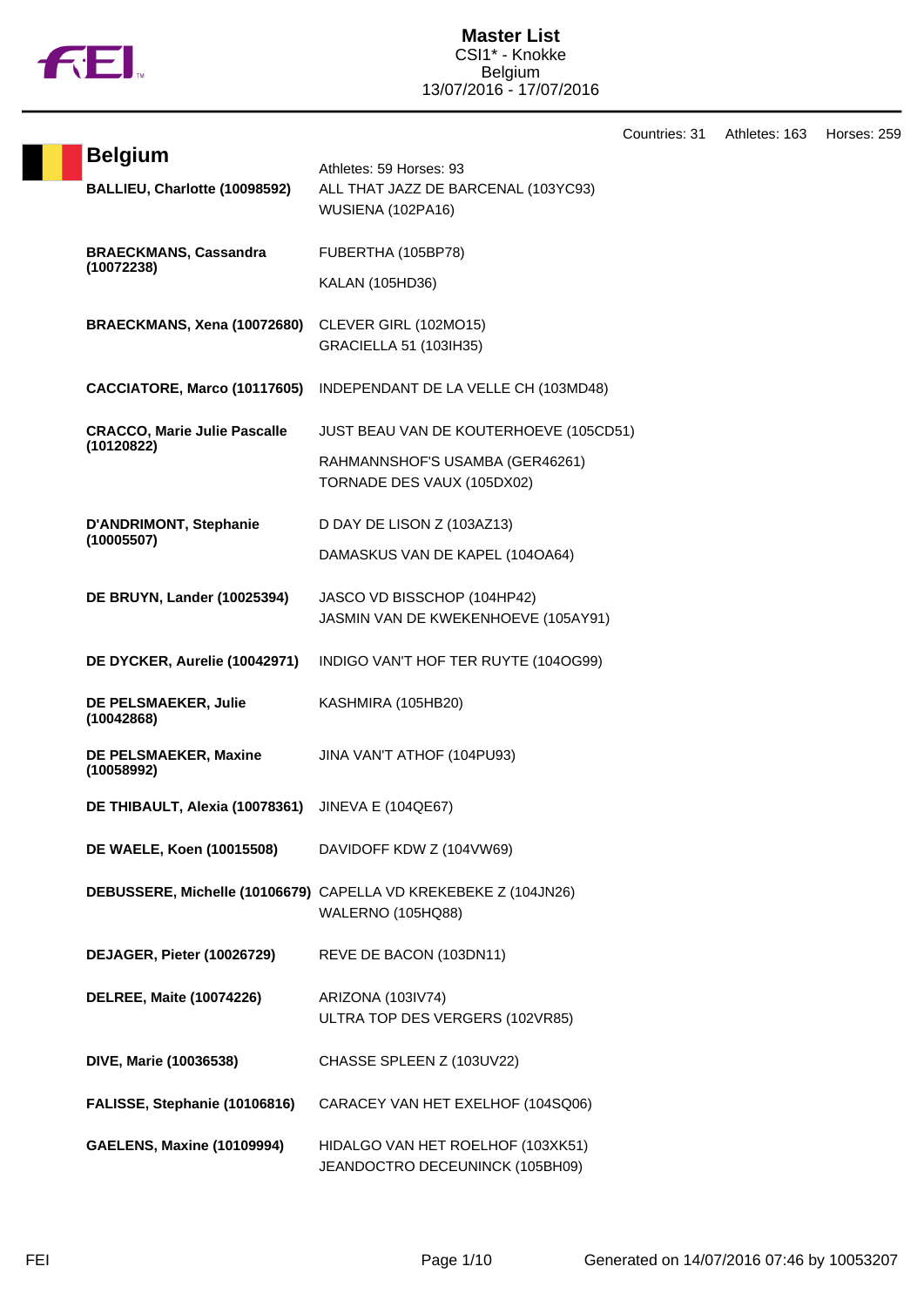

Countries: 31 Athletes: 163 Horses: 259

| <b>Belgium</b>                              | Athletes: 59 Horses: 93                                                                     |
|---------------------------------------------|---------------------------------------------------------------------------------------------|
| BALLIEU, Charlotte (10098592)               | ALL THAT JAZZ DE BARCENAL (103YC93)<br>WUSIENA (102PA16)                                    |
| <b>BRAECKMANS, Cassandra</b>                | FUBERTHA (105BP78)                                                                          |
| (10072238)                                  | KALAN (105HD36)                                                                             |
| BRAECKMANS, Xena (10072680)                 | CLEVER GIRL (102MO15)<br>GRACIELLA 51 (103IH35)                                             |
| CACCIATORE, Marco (10117605)                | INDEPENDANT DE LA VELLE CH (103MD48)                                                        |
| <b>CRACCO, Marie Julie Pascalle</b>         | JUST BEAU VAN DE KOUTERHOEVE (105CD51)                                                      |
| (10120822)                                  | RAHMANNSHOF'S USAMBA (GER46261)<br>TORNADE DES VAUX (105DX02)                               |
| <b>D'ANDRIMONT, Stephanie</b><br>(10005507) | D DAY DE LISON Z (103AZ13)                                                                  |
|                                             | DAMASKUS VAN DE KAPEL (1040A64)                                                             |
| <b>DE BRUYN, Lander (10025394)</b>          | JASCO VD BISSCHOP (104HP42)<br>JASMIN VAN DE KWEKENHOEVE (105AY91)                          |
| DE DYCKER, Aurelie (10042971)               | INDIGO VAN'T HOF TER RUYTE (104OG99)                                                        |
| DE PELSMAEKER, Julie<br>(10042868)          | KASHMIRA (105HB20)                                                                          |
| DE PELSMAEKER, Maxine<br>(10058992)         | JINA VAN'T ATHOF (104PU93)                                                                  |
| DE THIBAULT, Alexia (10078361)              | <b>JINEVA E (104QE67)</b>                                                                   |
| DE WAELE, Koen (10015508)                   | DAVIDOFF KDW Z (104VW69)                                                                    |
|                                             | DEBUSSERE, Michelle (10106679) CAPELLA VD KREKEBEKE Z (104JN26)<br><b>WALERNO (105HQ88)</b> |
| DEJAGER, Pieter (10026729)                  | REVE DE BACON (103DN11)                                                                     |
| <b>DELREE, Maite (10074226)</b>             | ARIZONA (103IV74)<br>ULTRA TOP DES VERGERS (102VR85)                                        |
| DIVE, Marie (10036538)                      | CHASSE SPLEEN Z (103UV22)                                                                   |
| FALISSE, Stephanie (10106816)               | CARACEY VAN HET EXELHOF (104SQ06)                                                           |
| <b>GAELENS, Maxine (10109994)</b>           | HIDALGO VAN HET ROELHOF (103XK51)<br>JEANDOCTRO DECEUNINCK (105BH09)                        |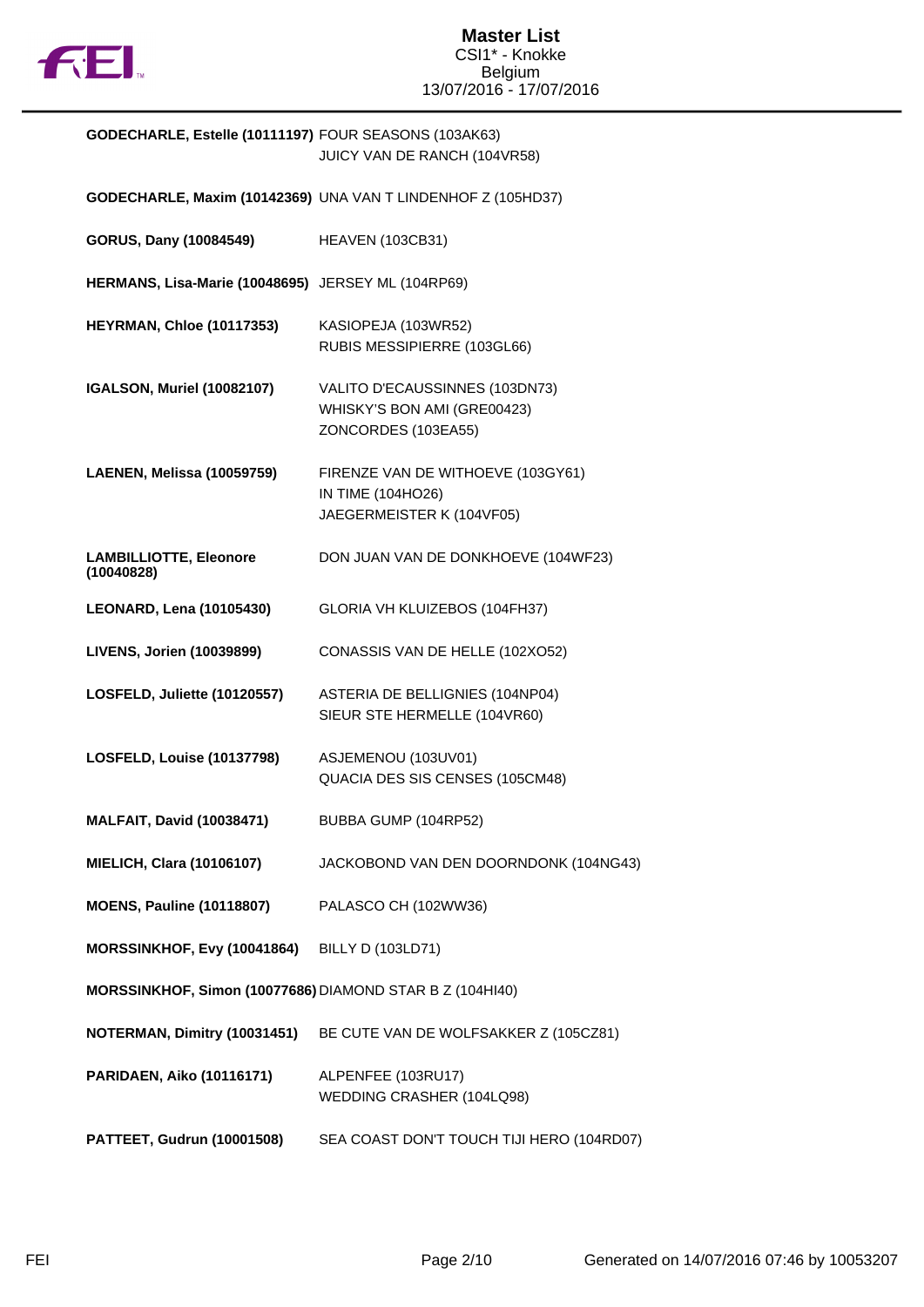

# **GODECHARLE, Estelle (10111197)** FOUR SEASONS (103AK63) JUICY VAN DE RANCH (104VR58)

|                                                          | GODECHARLE, Maxim (10142369) UNA VAN T LINDENHOF Z (105HD37)                         |
|----------------------------------------------------------|--------------------------------------------------------------------------------------|
| GORUS, Dany (10084549)                                   | <b>HEAVEN (103CB31)</b>                                                              |
| HERMANS, Lisa-Marie (10048695) JERSEY ML (104RP69)       |                                                                                      |
| <b>HEYRMAN, Chloe (10117353)</b>                         | KASIOPEJA (103WR52)<br>RUBIS MESSIPIERRE (103GL66)                                   |
| <b>IGALSON, Muriel (10082107)</b>                        | VALITO D'ECAUSSINNES (103DN73)<br>WHISKY'S BON AMI (GRE00423)<br>ZONCORDES (103EA55) |
| LAENEN, Melissa (10059759)                               | FIRENZE VAN DE WITHOEVE (103GY61)<br>IN TIME (104HO26)<br>JAEGERMEISTER K (104VF05)  |
| <b>LAMBILLIOTTE, Eleonore</b><br>(10040828)              | DON JUAN VAN DE DONKHOEVE (104WF23)                                                  |
| <b>LEONARD, Lena (10105430)</b>                          | GLORIA VH KLUIZEBOS (104FH37)                                                        |
| LIVENS, Jorien (10039899)                                | CONASSIS VAN DE HELLE (102XO52)                                                      |
| LOSFELD, Juliette (10120557)                             | ASTERIA DE BELLIGNIES (104NP04)<br>SIEUR STE HERMELLE (104VR60)                      |
| LOSFELD, Louise (10137798)                               | ASJEMENOU (103UV01)<br>QUACIA DES SIS CENSES (105CM48)                               |
| <b>MALFAIT, David (10038471)</b>                         | BUBBA GUMP (104RP52)                                                                 |
| <b>MIELICH, Clara (10106107)</b>                         | JACKOBOND VAN DEN DOORNDONK (104NG43)                                                |
| <b>MOENS, Pauline (10118807)</b>                         | PALASCO CH (102WW36)                                                                 |
| MORSSINKHOF, Evy (10041864)                              | <b>BILLY D (103LD71)</b>                                                             |
| MORSSINKHOF, Simon (10077686) DIAMOND STAR B Z (104HI40) |                                                                                      |
| NOTERMAN, Dimitry (10031451)                             | BE CUTE VAN DE WOLFSAKKER Z (105CZ81)                                                |
| <b>PARIDAEN, Aiko (10116171)</b>                         | ALPENFEE (103RU17)<br>WEDDING CRASHER (104LQ98)                                      |
| PATTEET, Gudrun (10001508)                               | SEA COAST DON'T TOUCH TIJI HERO (104RD07)                                            |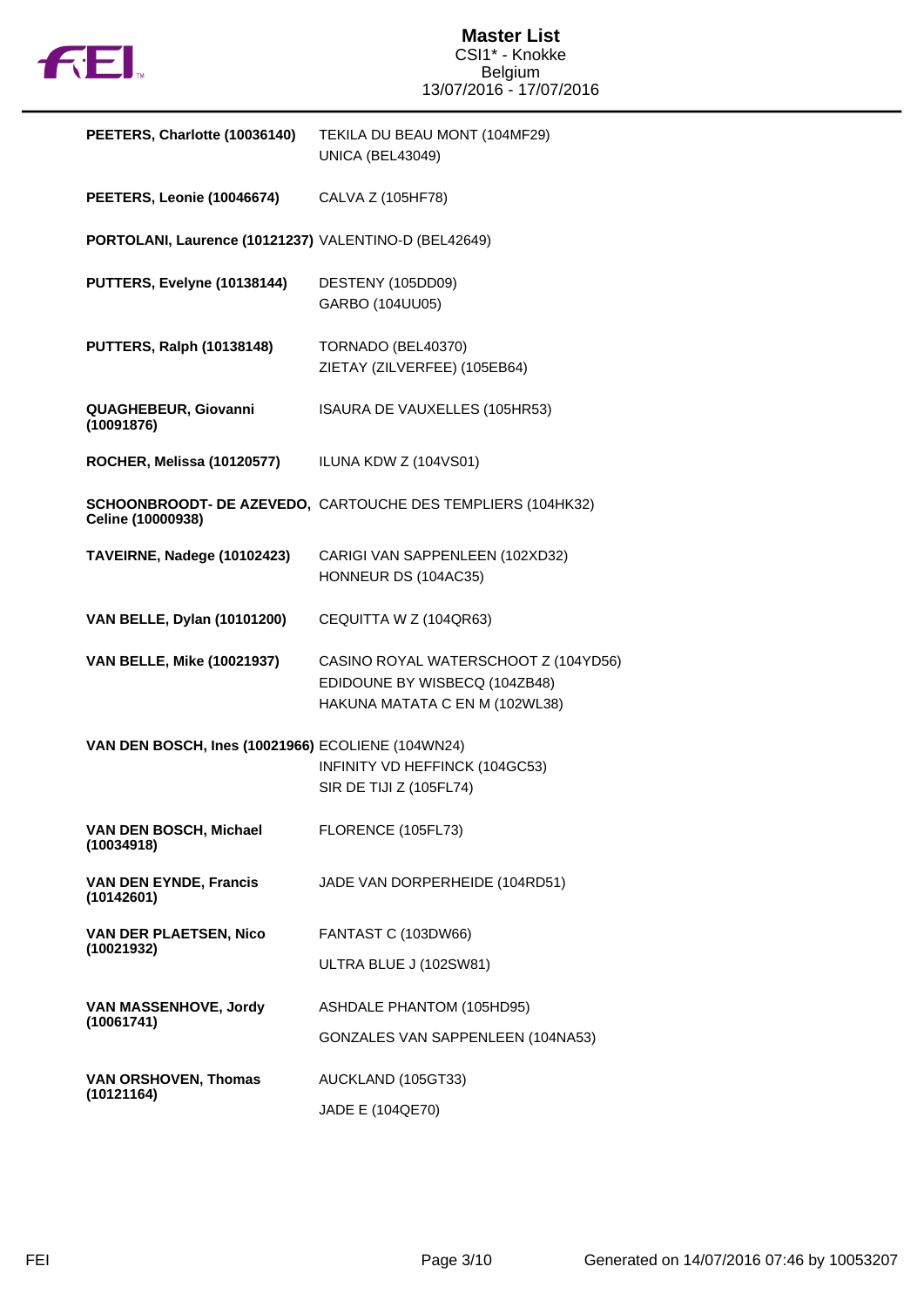

| PEETERS, Charlotte (10036140)                         | TEKILA DU BEAU MONT (104MF29)<br><b>UNICA (BEL43049)</b>                                                |
|-------------------------------------------------------|---------------------------------------------------------------------------------------------------------|
| PEETERS, Leonie (10046674)                            | CALVA Z (105HF78)                                                                                       |
| PORTOLANI, Laurence (10121237) VALENTINO-D (BEL42649) |                                                                                                         |
| PUTTERS, Evelyne (10138144)                           | DESTENY (105DD09)<br>GARBO (104UU05)                                                                    |
| <b>PUTTERS, Ralph (10138148)</b>                      | TORNADO (BEL40370)<br>ZIETAY (ZILVERFEE) (105EB64)                                                      |
| QUAGHEBEUR, Giovanni<br>(10091876)                    | ISAURA DE VAUXELLES (105HR53)                                                                           |
| <b>ROCHER, Melissa (10120577)</b>                     | ILUNA KDW Z (104VS01)                                                                                   |
| Celine (10000938)                                     | SCHOONBROODT- DE AZEVEDO, CARTOUCHE DES TEMPLIERS (104HK32)                                             |
| TAVEIRNE, Nadege (10102423)                           | CARIGI VAN SAPPENLEEN (102XD32)<br>HONNEUR DS (104AC35)                                                 |
| VAN BELLE, Dylan (10101200)                           | CEQUITTA W Z (104QR63)                                                                                  |
| <b>VAN BELLE, Mike (10021937)</b>                     | CASINO ROYAL WATERSCHOOT Z (104YD56)<br>EDIDOUNE BY WISBECQ (104ZB48)<br>HAKUNA MATATA C EN M (102WL38) |
| VAN DEN BOSCH, Ines (10021966) ECOLIENE (104WN24)     | INFINITY VD HEFFINCK (104GC53)<br>SIR DE TIJI Z (105FL74)                                               |
| VAN DEN BOSCH, Michael<br>(10034918)                  | FLORENCE (105FL73)                                                                                      |
| <b>VAN DEN EYNDE, Francis</b><br>(10142601)           | JADE VAN DORPERHEIDE (104RD51)                                                                          |
| <b>VAN DER PLAETSEN, Nico</b><br>(10021932)           | <b>FANTAST C (103DW66)</b>                                                                              |
|                                                       | ULTRA BLUE J (102SW81)                                                                                  |
| VAN MASSENHOVE, Jordy<br>(10061741)                   | ASHDALE PHANTOM (105HD95)                                                                               |
|                                                       | GONZALES VAN SAPPENLEEN (104NA53)                                                                       |
| <b>VAN ORSHOVEN, Thomas</b><br>(10121164)             | AUCKLAND (105GT33)                                                                                      |
|                                                       | JADE E (104QE70)                                                                                        |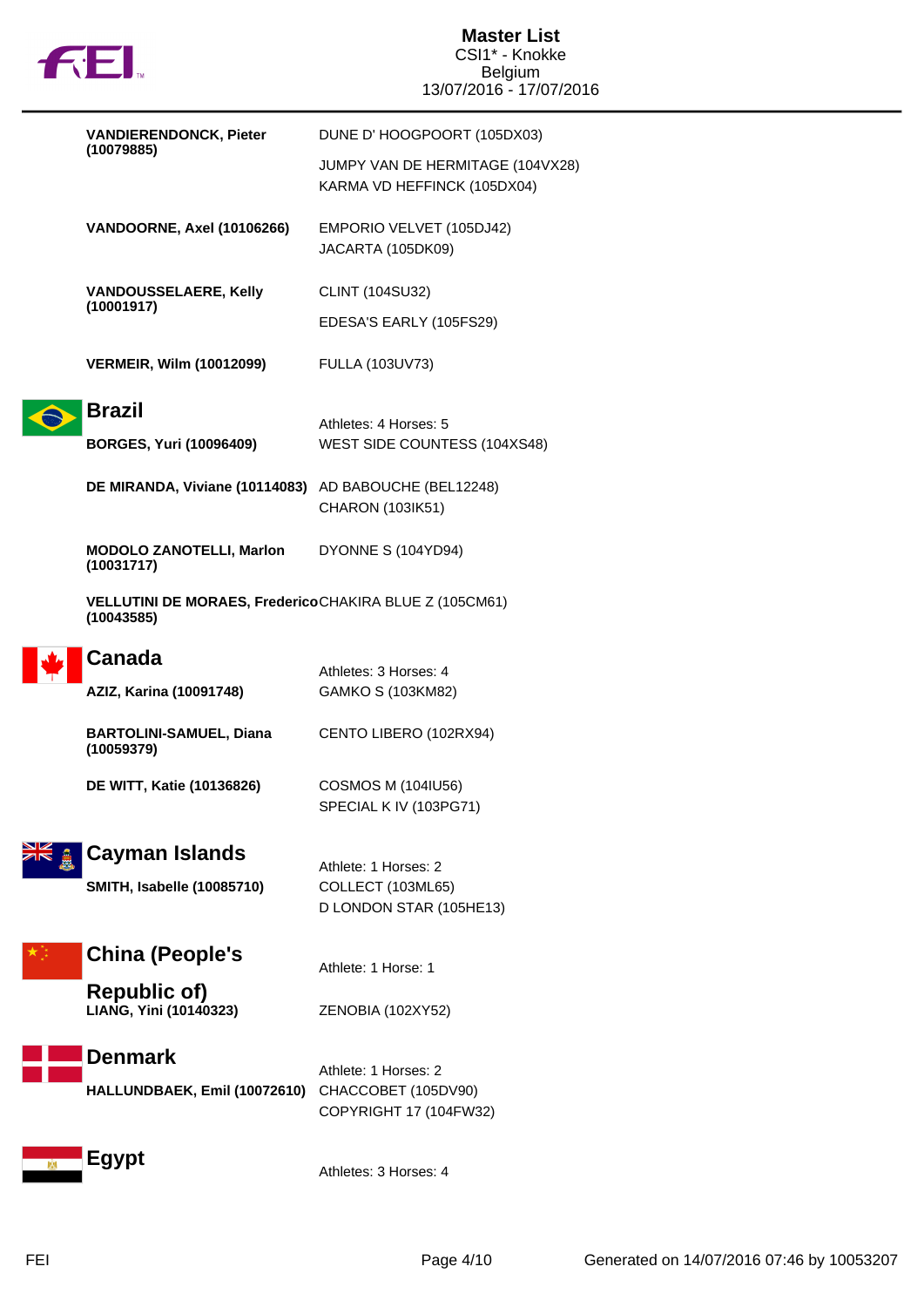

| <b>VANDIERENDONCK, Pieter</b>                                        | DUNE D'HOOGPOORT (105DX03)                                      |
|----------------------------------------------------------------------|-----------------------------------------------------------------|
| (10079885)                                                           | JUMPY VAN DE HERMITAGE (104VX28)<br>KARMA VD HEFFINCK (105DX04) |
| VANDOORNE, Axel (10106266)                                           | EMPORIO VELVET (105DJ42)<br>JACARTA (105DK09)                   |
| <b>VANDOUSSELAERE, Kelly</b><br>(10001917)                           | CLINT (104SU32)                                                 |
|                                                                      | EDESA'S EARLY (105FS29)                                         |
| <b>VERMEIR, Wilm (10012099)</b>                                      | FULLA (103UV73)                                                 |
| <b>Brazil</b>                                                        | Athletes: 4 Horses: 5                                           |
| <b>BORGES, Yuri (10096409)</b>                                       | WEST SIDE COUNTESS (104XS48)                                    |
| DE MIRANDA, Viviane (10114083) AD BABOUCHE (BEL12248)                | CHARON (103IK51)                                                |
| <b>MODOLO ZANOTELLI, Marlon</b><br>(10031717)                        | DYONNE S (104YD94)                                              |
| VELLUTINI DE MORAES, FredericoCHAKIRA BLUE Z (105CM61)<br>(10043585) |                                                                 |
| <b>Canada</b>                                                        | Athletes: 3 Horses: 4                                           |
| AZIZ, Karina (10091748)                                              | GAMKO S (103KM82)                                               |
| <b>BARTOLINI-SAMUEL, Diana</b><br>(10059379)                         | CENTO LIBERO (102RX94)                                          |
| <b>DE WITT, Katie (10136826)</b>                                     | <b>COSMOS M (104IU56)</b>                                       |
|                                                                      | SPECIAL K IV (103PG71)                                          |
| Cayman Islands                                                       | Athlete: 1 Horses: 2                                            |
| <b>SMITH, Isabelle (10085710)</b>                                    | COLLECT (103ML65)                                               |
|                                                                      | D LONDON STAR (105HE13)                                         |
| <b>China (People's</b>                                               | Athlete: 1 Horse: 1                                             |
| <b>Republic of)</b><br>LIANG, Yini (10140323)                        | ZENOBIA (102XY52)                                               |
| <b>Denmark</b>                                                       | Athlete: 1 Horses: 2                                            |
| HALLUNDBAEK, Emil (10072610)                                         | CHACCOBET (105DV90)<br>COPYRIGHT 17 (104FW32)                   |
| <b>Egypt</b>                                                         | Athletes: 3 Horses: 4                                           |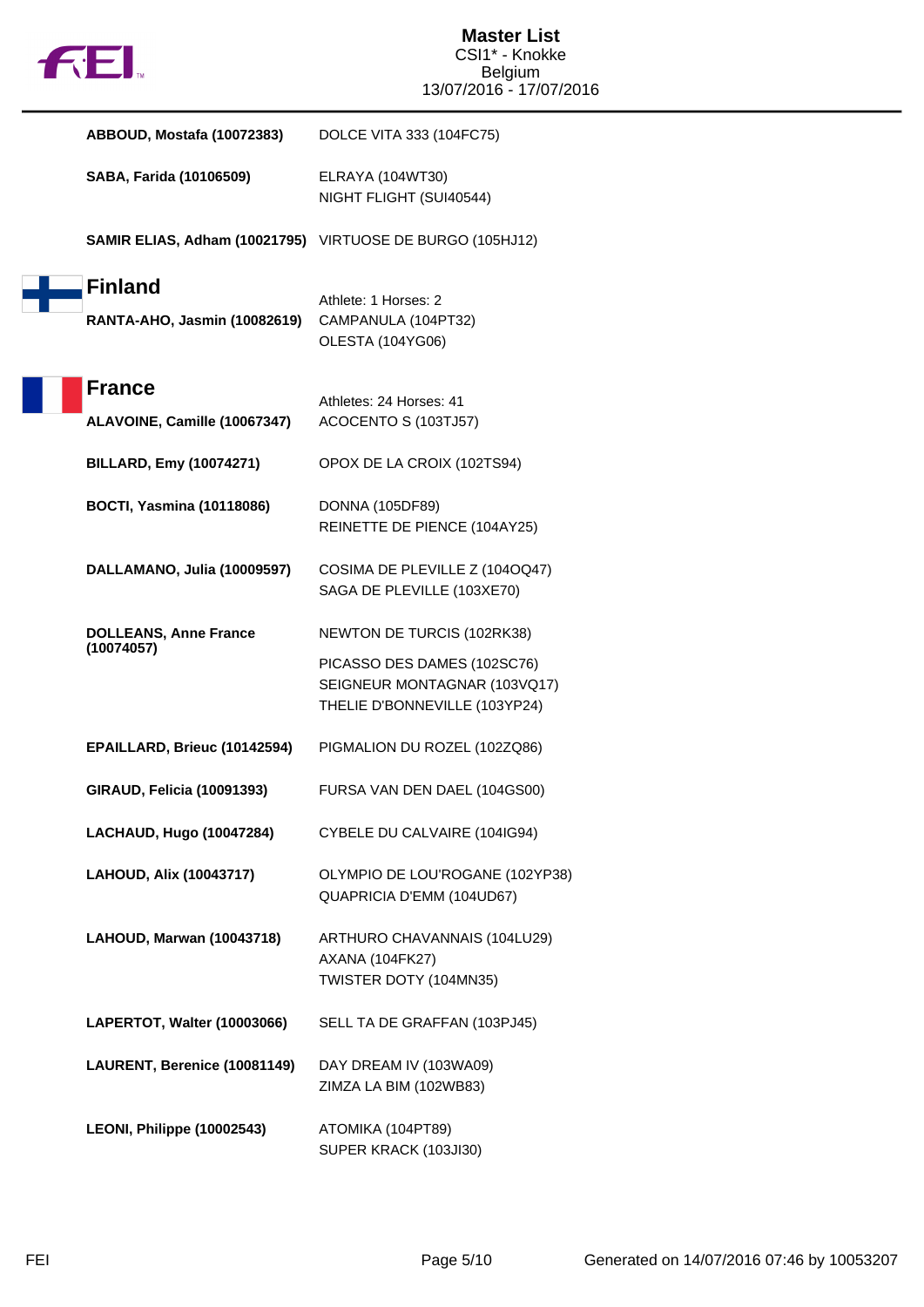

| ABBOUD, Mostafa (10072383)                     | DOLCE VITA 333 (104FC75)                                                                     |
|------------------------------------------------|----------------------------------------------------------------------------------------------|
| SABA, Farida (10106509)                        | ELRAYA (104WT30)<br>NIGHT FLIGHT (SUI40544)                                                  |
|                                                | SAMIR ELIAS, Adham (10021795) VIRTUOSE DE BURGO (105HJ12)                                    |
| <b>Finland</b><br>RANTA-AHO, Jasmin (10082619) | Athlete: 1 Horses: 2<br>CAMPANULA (104PT32)<br>OLESTA (104YG06)                              |
| <b>France</b><br>ALAVOINE, Camille (10067347)  | Athletes: 24 Horses: 41<br>ACOCENTO S (103TJ57)                                              |
| <b>BILLARD, Emy (10074271)</b>                 | OPOX DE LA CROIX (102TS94)                                                                   |
| <b>BOCTI, Yasmina (10118086)</b>               | <b>DONNA (105DF89)</b><br>REINETTE DE PIENCE (104AY25)                                       |
| DALLAMANO, Julia (10009597)                    | COSIMA DE PLEVILLE Z (1040Q47)<br>SAGA DE PLEVILLE (103XE70)                                 |
| <b>DOLLEANS, Anne France</b>                   | NEWTON DE TURCIS (102RK38)                                                                   |
| (10074057)                                     | PICASSO DES DAMES (102SC76)<br>SEIGNEUR MONTAGNAR (103VQ17)<br>THELIE D'BONNEVILLE (103YP24) |
| EPAILLARD, Brieuc (10142594)                   | PIGMALION DU ROZEL (102ZQ86)                                                                 |
| GIRAUD, Felicia (10091393)                     | FURSA VAN DEN DAEL (104GS00)                                                                 |
| <b>LACHAUD, Hugo (10047284)</b>                | CYBELE DU CALVAIRE (104IG94)                                                                 |
| LAHOUD, Alix (10043717)                        | OLYMPIO DE LOU'ROGANE (102YP38)<br>QUAPRICIA D'EMM (104UD67)                                 |
| LAHOUD, Marwan (10043718)                      | ARTHURO CHAVANNAIS (104LU29)<br><b>AXANA (104FK27)</b><br>TWISTER DOTY (104MN35)             |
| LAPERTOT, Walter (10003066)                    | SELL TA DE GRAFFAN (103PJ45)                                                                 |
| LAURENT, Berenice (10081149)                   | DAY DREAM IV (103WA09)<br>ZIMZA LA BIM (102WB83)                                             |
| LEONI, Philippe (10002543)                     | ATOMIKA (104PT89)<br>SUPER KRACK (103JI30)                                                   |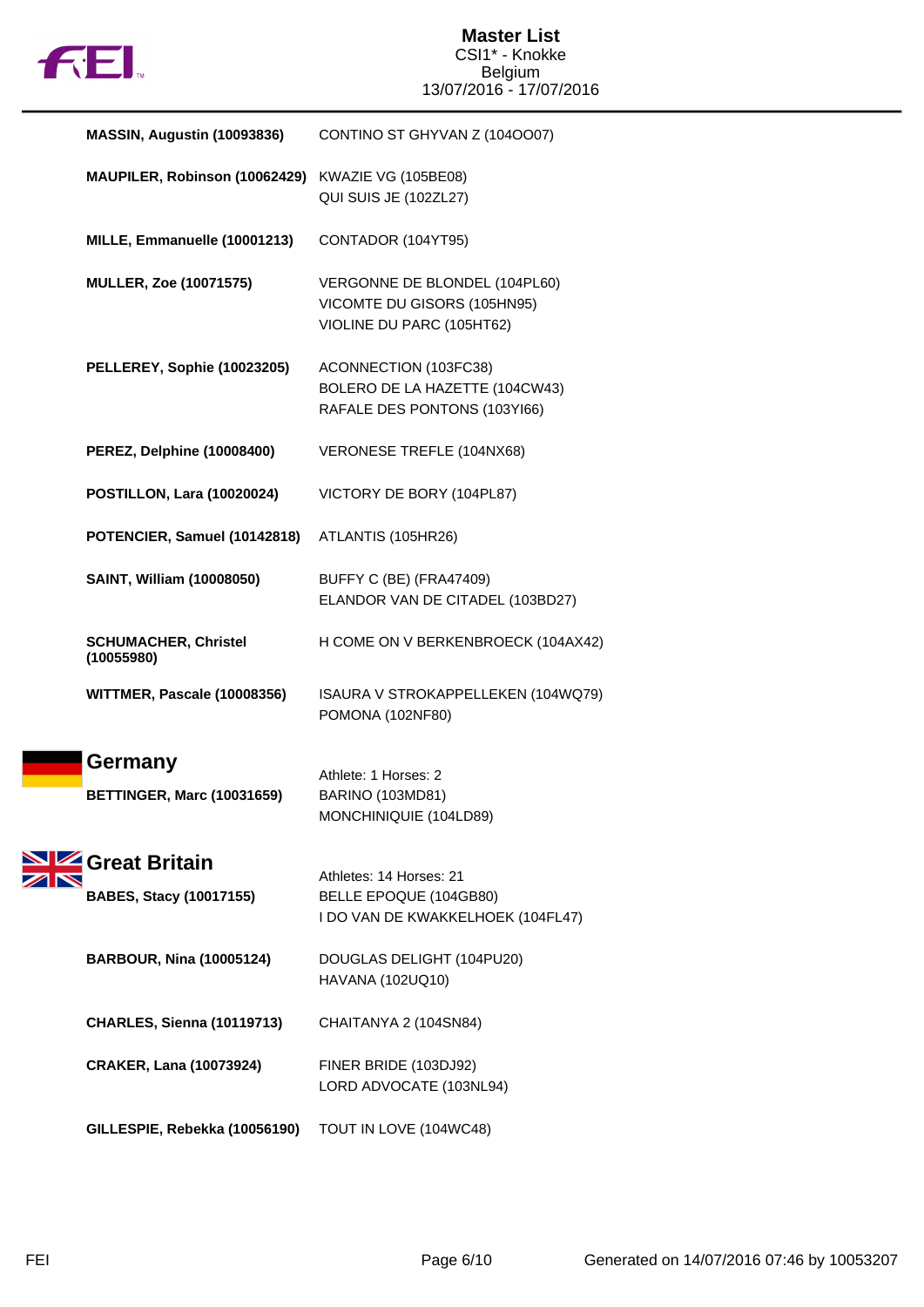

| MASSIN, Augustin (10093836)                     | CONTINO ST GHYVAN Z (1040007)                                                             |
|-------------------------------------------------|-------------------------------------------------------------------------------------------|
| MAUPILER, Robinson (10062429)                   | KWAZIE VG (105BE08)<br>QUI SUIS JE (102ZL27)                                              |
| MILLE, Emmanuelle (10001213)                    | CONTADOR (104YT95)                                                                        |
| <b>MULLER, Zoe (10071575)</b>                   | VERGONNE DE BLONDEL (104PL60)<br>VICOMTE DU GISORS (105HN95)<br>VIOLINE DU PARC (105HT62) |
| PELLEREY, Sophie (10023205)                     | ACONNECTION (103FC38)<br>BOLERO DE LA HAZETTE (104CW43)<br>RAFALE DES PONTONS (103YI66)   |
| PEREZ, Delphine (10008400)                      | VERONESE TREFLE (104NX68)                                                                 |
| <b>POSTILLON, Lara (10020024)</b>               | VICTORY DE BORY (104PL87)                                                                 |
| POTENCIER, Samuel (10142818)                    | ATLANTIS (105HR26)                                                                        |
| SAINT, William (10008050)                       | BUFFY C (BE) (FRA47409)<br>ELANDOR VAN DE CITADEL (103BD27)                               |
| <b>SCHUMACHER, Christel</b><br>(10055980)       | H COME ON V BERKENBROECK (104AX42)                                                        |
| WITTMER, Pascale (10008356)                     | ISAURA V STROKAPPELLEKEN (104WQ79)<br>POMONA (102NF80)                                    |
| Germany<br><b>BETTINGER, Marc (10031659)</b>    | Athlete: 1 Horses: 2<br>BARINO (103MD81)<br>MONCHINIQUIE (104LD89)                        |
| Great Britain<br><b>BABES, Stacy (10017155)</b> | Athletes: 14 Horses: 21<br>BELLE EPOQUE (104GB80)<br>I DO VAN DE KWAKKELHOEK (104FL47)    |
| <b>BARBOUR, Nina (10005124)</b>                 | DOUGLAS DELIGHT (104PU20)<br>HAVANA (102UQ10)                                             |
| <b>CHARLES, Sienna (10119713)</b>               | CHAITANYA 2 (104SN84)                                                                     |
| <b>CRAKER, Lana (10073924)</b>                  | FINER BRIDE (103DJ92)<br>LORD ADVOCATE (103NL94)                                          |
| GILLESPIE, Rebekka (10056190)                   | TOUT IN LOVE (104WC48)                                                                    |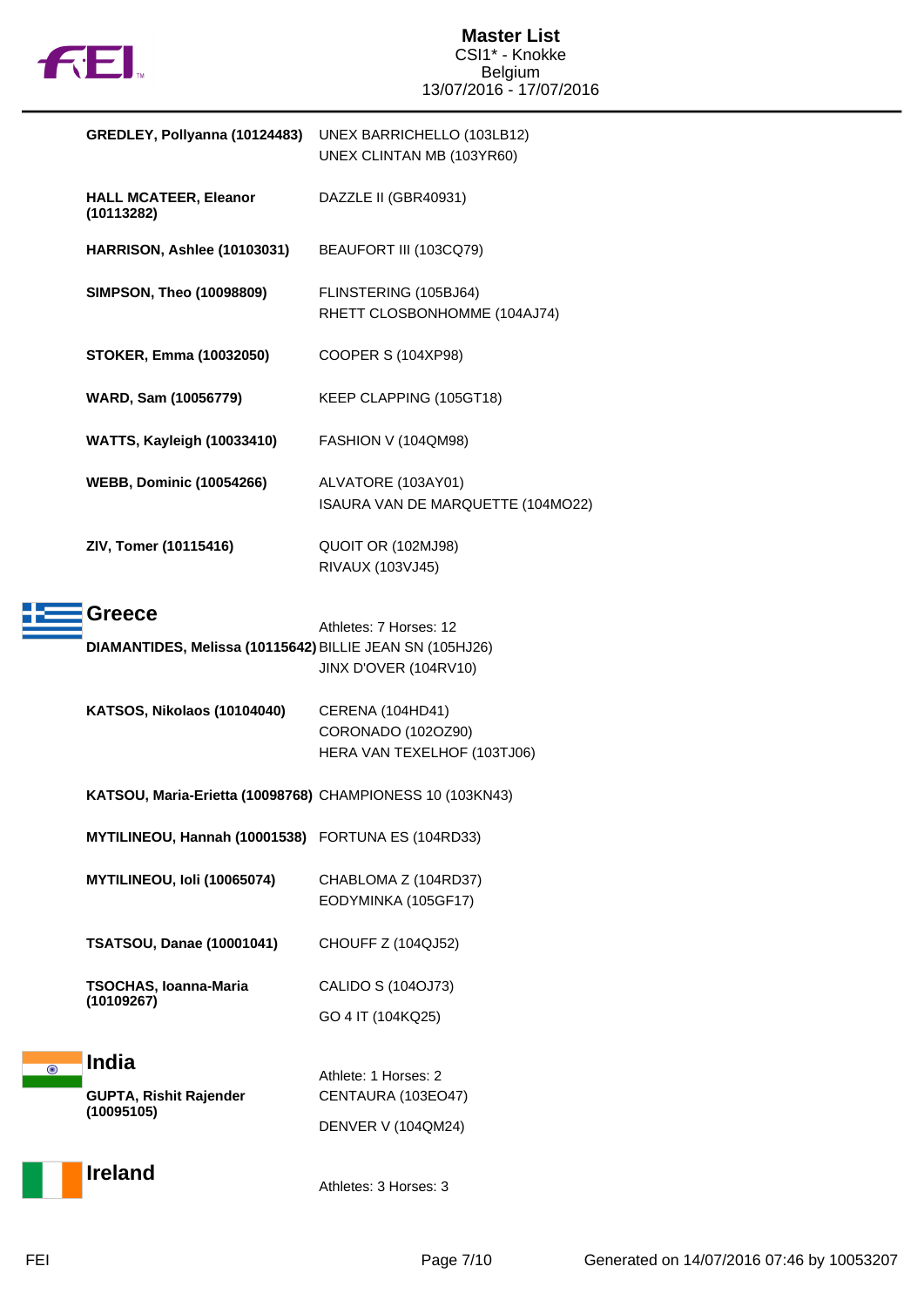

|                    | GREDLEY, Pollyanna (10124483)                                             | UNEX BARRICHELLO (103LB12)<br>UNEX CLINTAN MB (103YR60)               |
|--------------------|---------------------------------------------------------------------------|-----------------------------------------------------------------------|
|                    | <b>HALL MCATEER, Eleanor</b><br>(10113282)                                | DAZZLE II (GBR40931)                                                  |
|                    | HARRISON, Ashlee (10103031)                                               | BEAUFORT III (103CQ79)                                                |
|                    | <b>SIMPSON, Theo (10098809)</b>                                           | FLINSTERING (105BJ64)<br>RHETT CLOSBONHOMME (104AJ74)                 |
|                    | <b>STOKER, Emma (10032050)</b>                                            | COOPER S (104XP98)                                                    |
|                    | WARD, Sam (10056779)                                                      | KEEP CLAPPING (105GT18)                                               |
|                    | <b>WATTS, Kayleigh (10033410)</b>                                         | FASHION V (104QM98)                                                   |
|                    | <b>WEBB, Dominic (10054266)</b>                                           | ALVATORE (103AY01)<br>ISAURA VAN DE MARQUETTE (104MO22)               |
|                    | ZIV, Tomer (10115416)                                                     | QUOIT OR (102MJ98)<br>RIVAUX (103VJ45)                                |
|                    | <b>Greece</b><br>DIAMANTIDES, Melissa (10115642) BILLIE JEAN SN (105HJ26) | Athletes: 7 Horses: 12<br>JINX D'OVER (104RV10)                       |
|                    | KATSOS, Nikolaos (10104040)                                               | CERENA (104HD41)<br>CORONADO (102OZ90)<br>HERA VAN TEXELHOF (103TJ06) |
|                    | KATSOU, Maria-Erietta (10098768) CHAMPIONESS 10 (103KN43)                 |                                                                       |
|                    | MYTILINEOU, Hannah (10001538) FORTUNA ES (104RD33)                        |                                                                       |
|                    | MYTILINEOU, Ioli (10065074)                                               | CHABLOMA Z (104RD37)<br>EODYMINKA (105GF17)                           |
|                    | <b>TSATSOU, Danae (10001041)</b>                                          | <b>CHOUFF Z (104QJ52)</b>                                             |
|                    | TSOCHAS, Ioanna-Maria<br>(10109267)                                       | CALIDO S (104OJ73)                                                    |
|                    |                                                                           | GO 4 IT (104KQ25)                                                     |
| $\overline{\odot}$ | <b>India</b>                                                              | Athlete: 1 Horses: 2                                                  |
|                    | <b>GUPTA, Rishit Rajender</b><br>(10095105)                               | CENTAURA (103EO47)                                                    |
|                    |                                                                           | DENVER V (104QM24)                                                    |
|                    | <b>Ireland</b>                                                            | Athletes: 3 Horses: 3                                                 |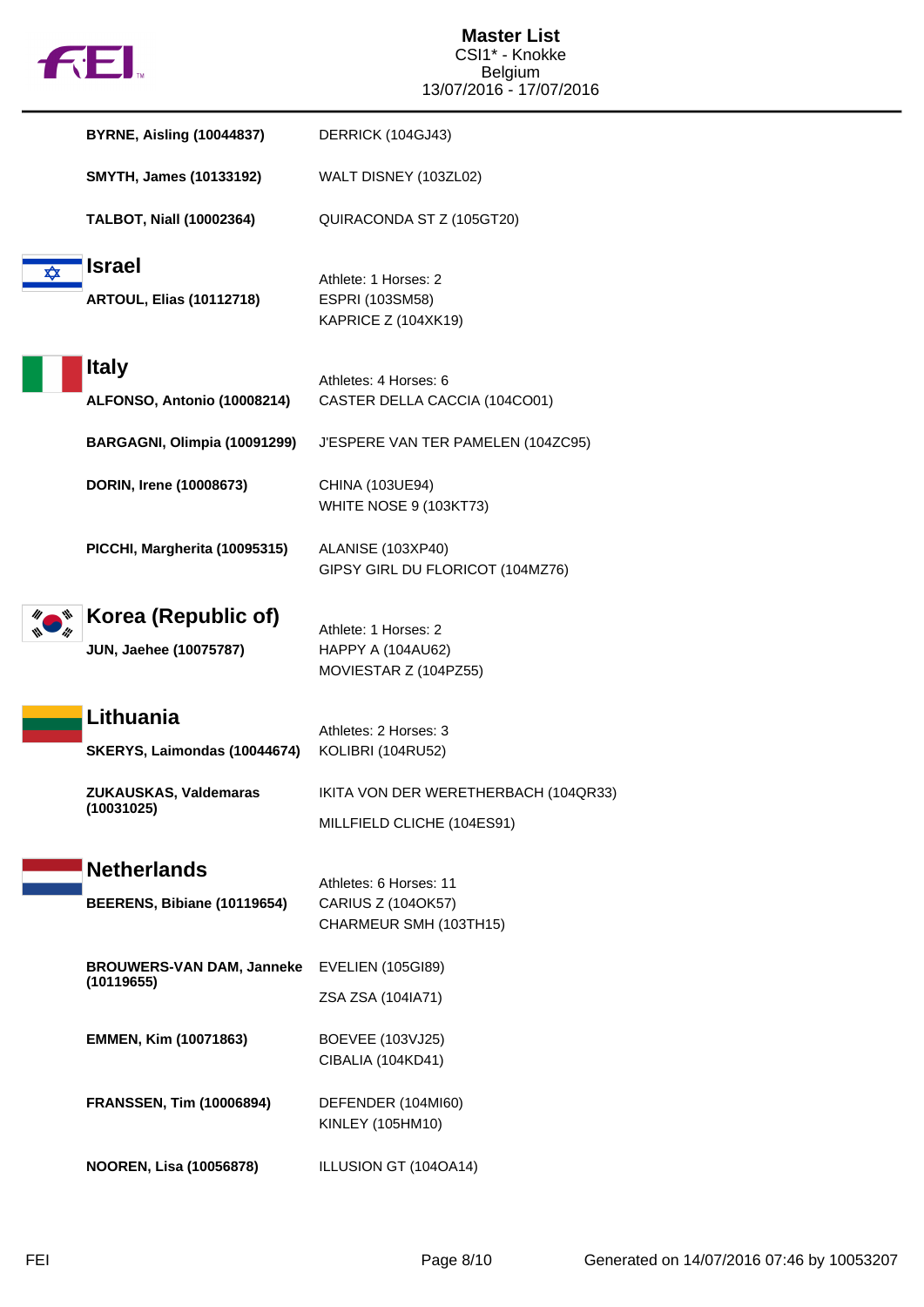

|   | <b>BYRNE, Aisling (10044837)</b>                     | DERRICK (104GJ43)                                                      |
|---|------------------------------------------------------|------------------------------------------------------------------------|
|   | <b>SMYTH, James (10133192)</b>                       | WALT DISNEY (103ZL02)                                                  |
|   | <b>TALBOT, Niall (10002364)</b>                      | QUIRACONDA ST Z (105GT20)                                              |
| ✿ | <b>Israel</b><br><b>ARTOUL, Elias (10112718)</b>     | Athlete: 1 Horses: 2<br>ESPRI (103SM58)<br>KAPRICE Z (104XK19)         |
|   | <b>Italy</b><br>ALFONSO, Antonio (10008214)          | Athletes: 4 Horses: 6<br>CASTER DELLA CACCIA (104CO01)                 |
|   | BARGAGNI, Olimpia (10091299)                         | J'ESPERE VAN TER PAMELEN (104ZC95)                                     |
|   | DORIN, Irene (10008673)                              | CHINA (103UE94)<br><b>WHITE NOSE 9 (103KT73)</b>                       |
|   | PICCHI, Margherita (10095315)                        | ALANISE (103XP40)<br>GIPSY GIRL DU FLORICOT (104MZ76)                  |
|   | Korea (Republic of)<br><b>JUN, Jaehee (10075787)</b> | Athlete: 1 Horses: 2<br>HAPPY A (104AU62)<br>MOVIESTAR Z (104PZ55)     |
|   | Lithuania<br>SKERYS, Laimondas (10044674)            | Athletes: 2 Horses: 3<br>KOLIBRI (104RU52)                             |
|   | ZUKAUSKAS, Valdemaras<br>(10031025)                  | IKITA VON DER WERETHERBACH (104QR33)<br>MILLFIELD CLICHE (104ES91)     |
|   | <b>Netherlands</b><br>BEERENS, Bibiane (10119654)    | Athletes: 6 Horses: 11<br>CARIUS Z (104OK57)<br>CHARMEUR SMH (103TH15) |
|   | <b>BROUWERS-VAN DAM, Janneke</b><br>(10119655)       | <b>EVELIEN (105GI89)</b>                                               |
|   |                                                      | ZSA ZSA (104IA71)                                                      |
|   | EMMEN, Kim (10071863)                                | BOEVEE (103VJ25)<br>CIBALIA (104KD41)                                  |
|   | <b>FRANSSEN, Tim (10006894)</b>                      | DEFENDER (104MI60)<br>KINLEY (105HM10)                                 |
|   | <b>NOOREN, Lisa (10056878)</b>                       | ILLUSION GT (104OA14)                                                  |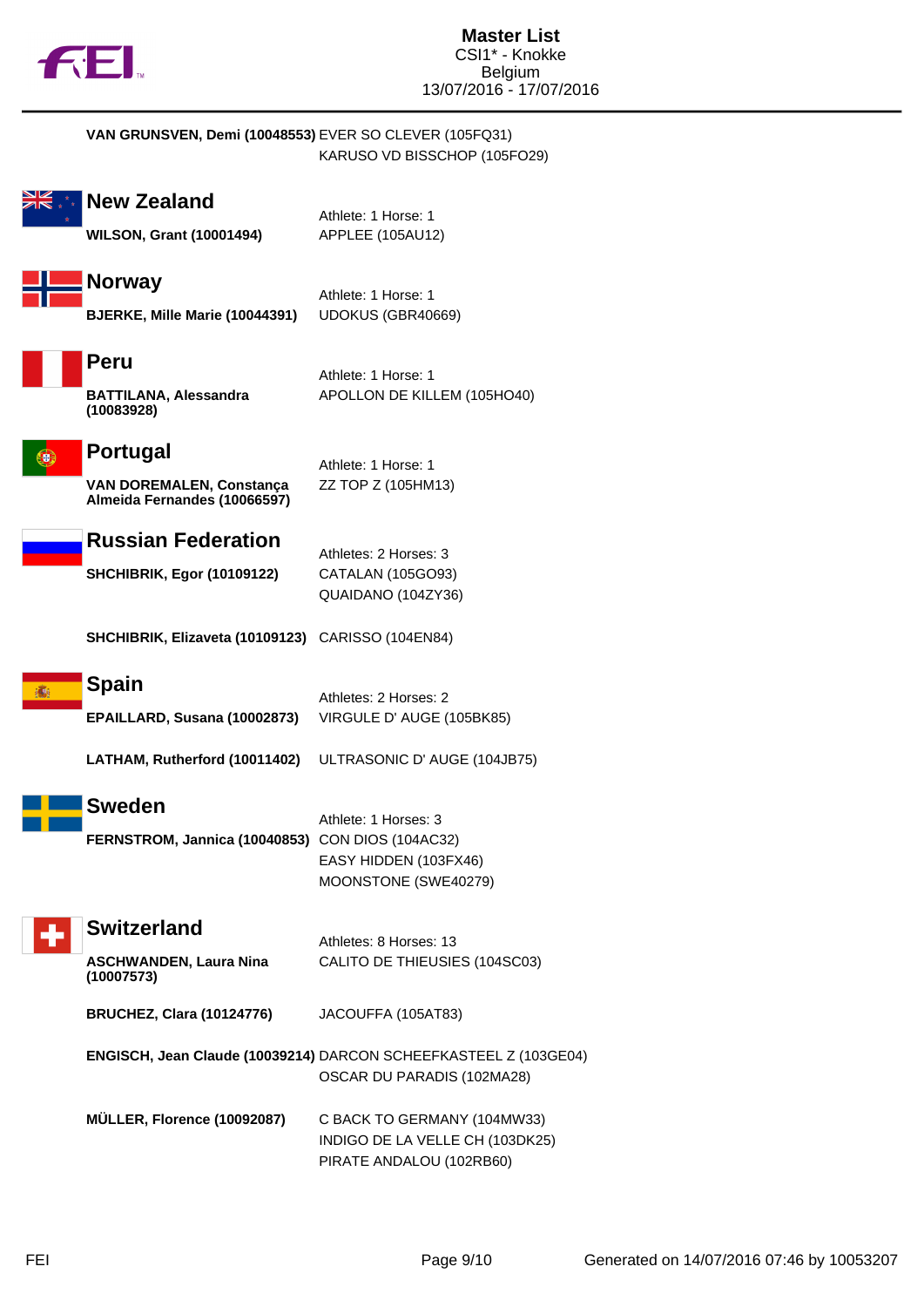

|   | VAN GRUNSVEN, Demi (10048553) EVER SO CLEVER (105FQ31)                             | KARUSO VD BISSCHOP (105FO29)                                                                   |
|---|------------------------------------------------------------------------------------|------------------------------------------------------------------------------------------------|
|   | <b>New Zealand</b><br><b>WILSON, Grant (10001494)</b>                              | Athlete: 1 Horse: 1<br>APPLEE (105AU12)                                                        |
|   | <b>Norway</b><br>BJERKE, Mille Marie (10044391)                                    | Athlete: 1 Horse: 1<br>UDOKUS (GBR40669)                                                       |
|   | Peru<br><b>BATTILANA, Alessandra</b><br>(10083928)                                 | Athlete: 1 Horse: 1<br>APOLLON DE KILLEM (105HO40)                                             |
|   | <b>Portugal</b><br><b>VAN DOREMALEN, Constança</b><br>Almeida Fernandes (10066597) | Athlete: 1 Horse: 1<br>ZZ TOP Z (105HM13)                                                      |
|   | <b>Russian Federation</b><br><b>SHCHIBRIK, Egor (10109122)</b>                     | Athletes: 2 Horses: 3<br>CATALAN (105GO93)<br>QUAIDANO (104ZY36)                               |
|   | SHCHIBRIK, Elizaveta (10109123) CARISSO (104EN84)                                  |                                                                                                |
| 滿 | <b>Spain</b><br>EPAILLARD, Susana (10002873)<br>LATHAM, Rutherford (10011402)      | Athletes: 2 Horses: 2<br>VIRGULE D' AUGE (105BK85)<br>ULTRASONIC D' AUGE (104JB75)             |
|   | <b>Sweden</b><br>FERNSTROM, Jannica (10040853) CON DIOS (104AC32)                  | Athlete: 1 Horses: 3<br>EASY HIDDEN (103FX46)<br>MOONSTONE (SWE40279)                          |
|   | <b>Switzerland</b><br><b>ASCHWANDEN, Laura Nina</b><br>(10007573)                  | Athletes: 8 Horses: 13<br>CALITO DE THIEUSIES (104SC03)                                        |
|   | <b>BRUCHEZ, Clara (10124776)</b>                                                   | JACOUFFA (105AT83)                                                                             |
|   |                                                                                    | ENGISCH, Jean Claude (10039214) DARCON SCHEEFKASTEEL Z (103GE04)<br>OSCAR DU PARADIS (102MA28) |
|   | MÜLLER, Florence (10092087)                                                        | C BACK TO GERMANY (104MW33)<br>INDIGO DE LA VELLE CH (103DK25)<br>PIRATE ANDALOU (102RB60)     |